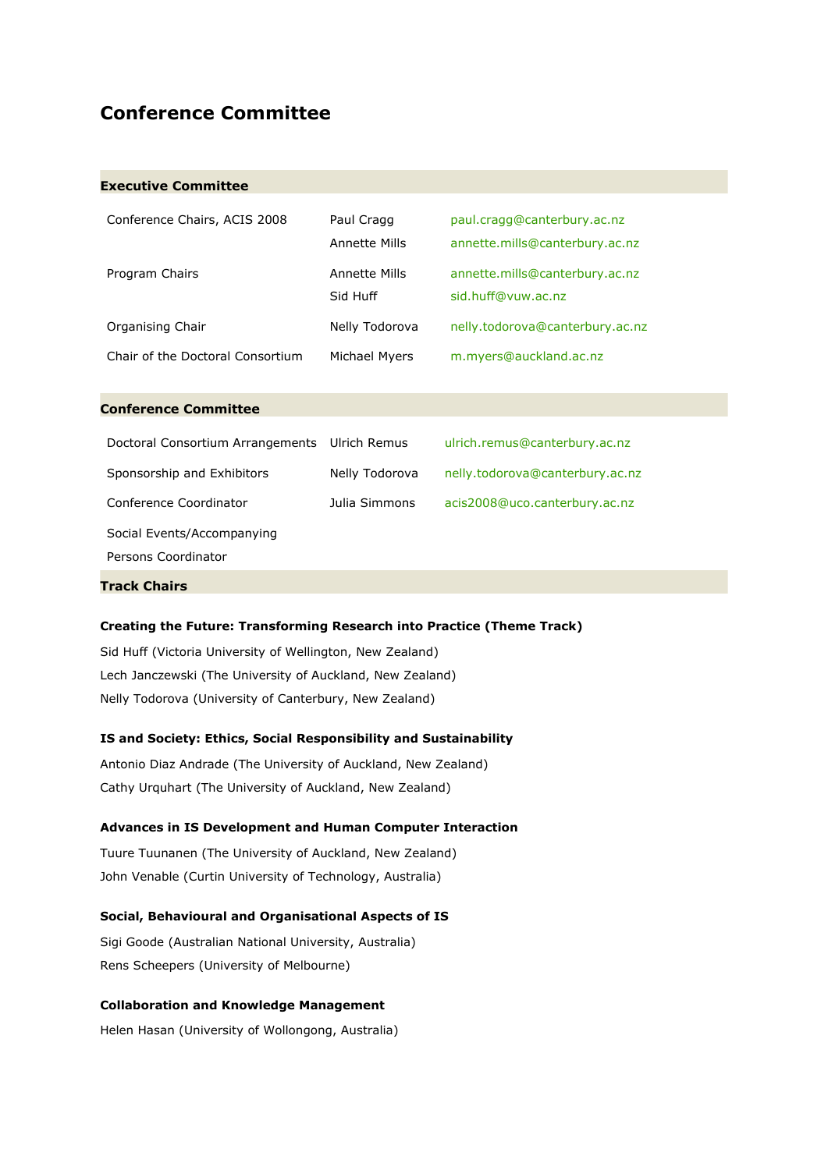### **Conference Committee**

#### **Executive Committee**

| Conference Chairs, ACIS 2008     | Paul Cragg<br><b>Annette Mills</b> | paul.cragg@canterbury.ac.nz<br>annette.mills@canterbury.ac.nz |
|----------------------------------|------------------------------------|---------------------------------------------------------------|
| Program Chairs                   | Annette Mills<br>Sid Huff          | annette.mills@canterbury.ac.nz<br>sid.huff@vuw.ac.nz          |
| Organising Chair                 | Nelly Todorova                     | nelly.todorova@canterbury.ac.nz                               |
| Chair of the Doctoral Consortium | Michael Myers                      | m.myers@auckland.ac.nz                                        |

#### **Conference Committee**

| Doctoral Consortium Arrangements | Ulrich Remus   | ulrich.remus@canterbury.ac.nz   |
|----------------------------------|----------------|---------------------------------|
| Sponsorship and Exhibitors       | Nelly Todorova | nelly.todorova@canterbury.ac.nz |
| Conference Coordinator           | Julia Simmons  | acis2008@uco.canterbury.ac.nz   |
| Social Events/Accompanying       |                |                                 |
| Persons Coordinator              |                |                                 |
|                                  |                |                                 |

### **Track Chairs**

#### **Creating the Future: Transforming Research into Practice (Theme Track)**

Sid Huff (Victoria University of Wellington, New Zealand) Lech Janczewski (The University of Auckland, New Zealand) Nelly Todorova (University of Canterbury, New Zealand)

#### **IS and Society: Ethics, Social Responsibility and Sustainability**

Antonio Diaz Andrade (The University of Auckland, New Zealand) Cathy Urquhart (The University of Auckland, New Zealand)

#### **Advances in IS Development and Human Computer Interaction**

Tuure Tuunanen (The University of Auckland, New Zealand) John Venable (Curtin University of Technology, Australia)

#### **Social, Behavioural and Organisational Aspects of IS**

Sigi Goode (Australian National University, Australia) Rens Scheepers (University of Melbourne)

#### **Collaboration and Knowledge Management**

Helen Hasan (University of Wollongong, Australia)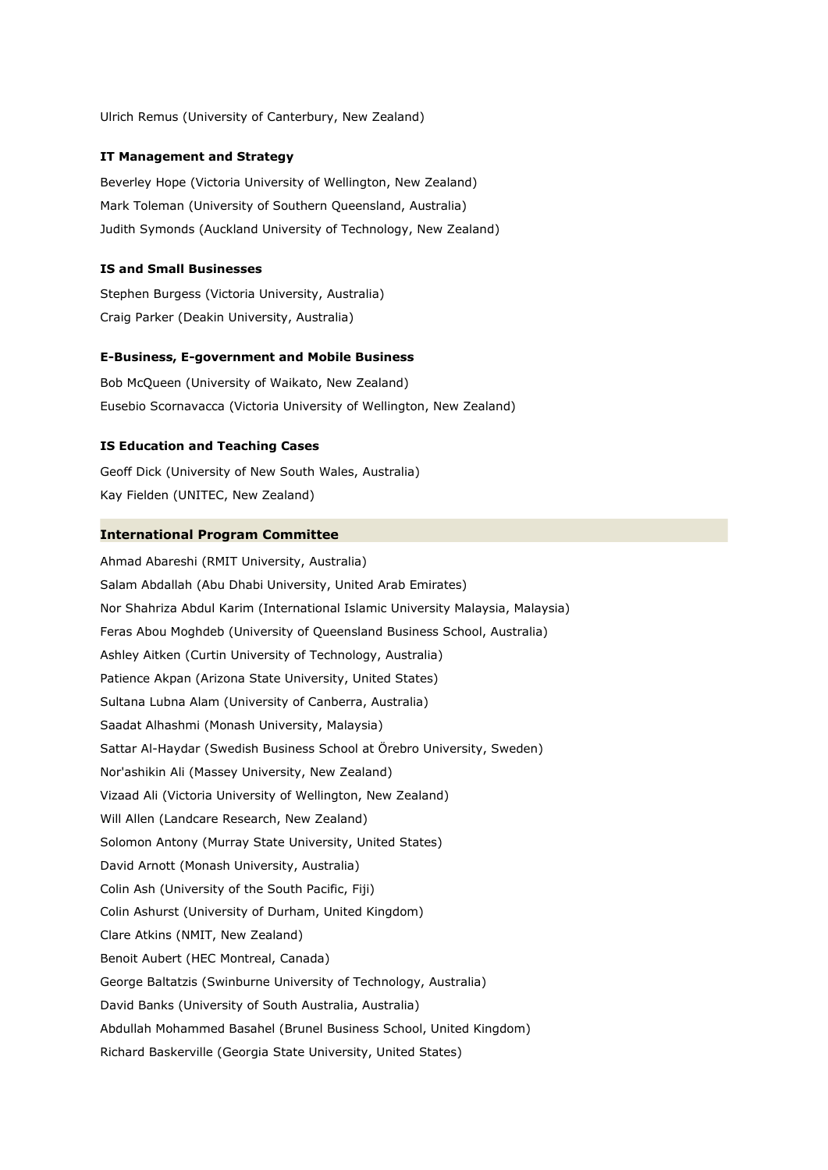Ulrich Remus (University of Canterbury, New Zealand)

#### **IT Management and Strategy**

Beverley Hope (Victoria University of Wellington, New Zealand) Mark Toleman (University of Southern Queensland, Australia) Judith Symonds (Auckland University of Technology, New Zealand)

#### **IS and Small Businesses**

Stephen Burgess (Victoria University, Australia) Craig Parker (Deakin University, Australia)

#### **E-Business, E-government and Mobile Business**

Bob McQueen (University of Waikato, New Zealand) Eusebio Scornavacca (Victoria University of Wellington, New Zealand)

#### **IS Education and Teaching Cases**

Geoff Dick (University of New South Wales, Australia) Kay Fielden (UNITEC, New Zealand)

#### **International Program Committee**

Ahmad Abareshi (RMIT University, Australia) Salam Abdallah (Abu Dhabi University, United Arab Emirates) Nor Shahriza Abdul Karim (International Islamic University Malaysia, Malaysia) Feras Abou Moghdeb (University of Queensland Business School, Australia) Ashley Aitken (Curtin University of Technology, Australia) Patience Akpan (Arizona State University, United States) Sultana Lubna Alam (University of Canberra, Australia) Saadat Alhashmi (Monash University, Malaysia) Sattar Al-Haydar (Swedish Business School at Örebro University, Sweden) Nor'ashikin Ali (Massey University, New Zealand) Vizaad Ali (Victoria University of Wellington, New Zealand) Will Allen (Landcare Research, New Zealand) Solomon Antony (Murray State University, United States) David Arnott (Monash University, Australia) Colin Ash (University of the South Pacific, Fiji) Colin Ashurst (University of Durham, United Kingdom) Clare Atkins (NMIT, New Zealand) Benoit Aubert (HEC Montreal, Canada) George Baltatzis (Swinburne University of Technology, Australia) David Banks (University of South Australia, Australia) Abdullah Mohammed Basahel (Brunel Business School, United Kingdom) Richard Baskerville (Georgia State University, United States)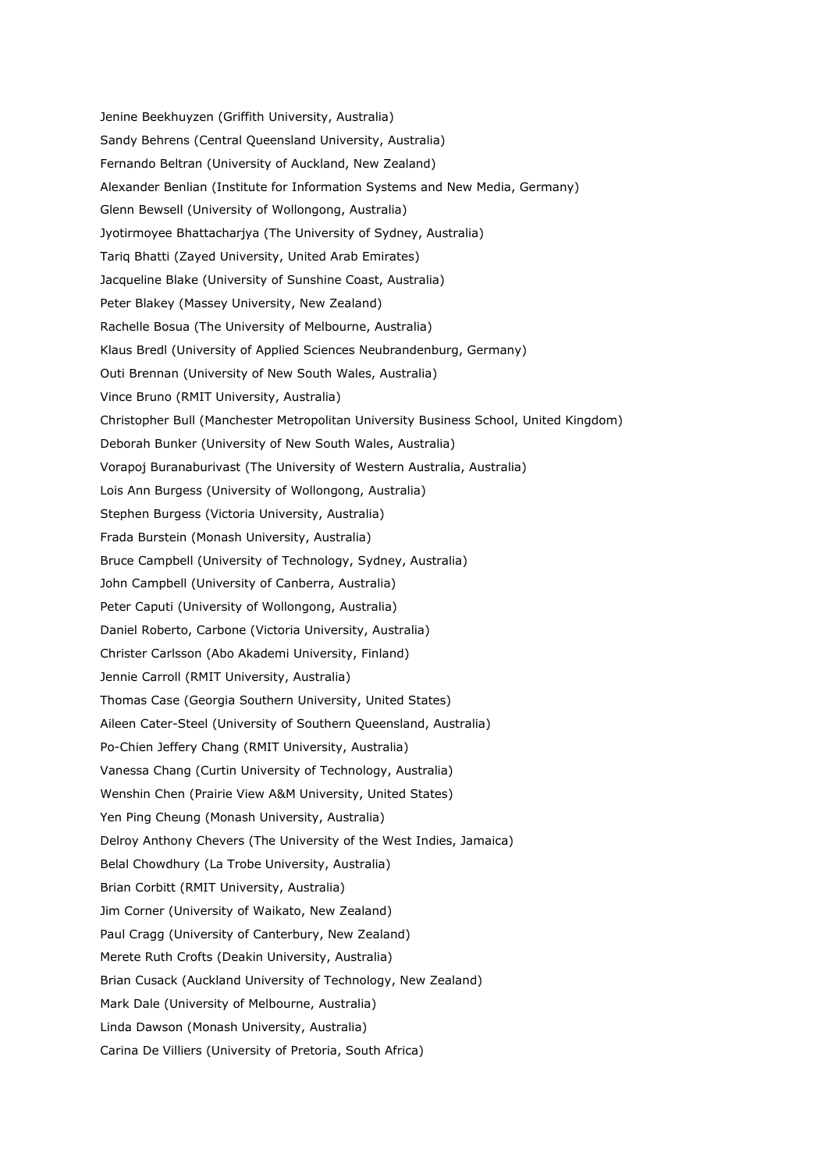Jenine Beekhuyzen (Griffith University, Australia) Sandy Behrens (Central Queensland University, Australia) Fernando Beltran (University of Auckland, New Zealand) Alexander Benlian (Institute for Information Systems and New Media, Germany) Glenn Bewsell (University of Wollongong, Australia) Jyotirmoyee Bhattacharjya (The University of Sydney, Australia) Tariq Bhatti (Zayed University, United Arab Emirates) Jacqueline Blake (University of Sunshine Coast, Australia) Peter Blakey (Massey University, New Zealand) Rachelle Bosua (The University of Melbourne, Australia) Klaus Bredl (University of Applied Sciences Neubrandenburg, Germany) Outi Brennan (University of New South Wales, Australia) Vince Bruno (RMIT University, Australia) Christopher Bull (Manchester Metropolitan University Business School, United Kingdom) Deborah Bunker (University of New South Wales, Australia) Vorapoj Buranaburivast (The University of Western Australia, Australia) Lois Ann Burgess (University of Wollongong, Australia) Stephen Burgess (Victoria University, Australia) Frada Burstein (Monash University, Australia) Bruce Campbell (University of Technology, Sydney, Australia) John Campbell (University of Canberra, Australia) Peter Caputi (University of Wollongong, Australia) Daniel Roberto, Carbone (Victoria University, Australia) Christer Carlsson (Abo Akademi University, Finland) Jennie Carroll (RMIT University, Australia) Thomas Case (Georgia Southern University, United States) Aileen Cater-Steel (University of Southern Queensland, Australia) Po-Chien Jeffery Chang (RMIT University, Australia) Vanessa Chang (Curtin University of Technology, Australia) Wenshin Chen (Prairie View A&M University, United States) Yen Ping Cheung (Monash University, Australia) Delroy Anthony Chevers (The University of the West Indies, Jamaica) Belal Chowdhury (La Trobe University, Australia) Brian Corbitt (RMIT University, Australia) Jim Corner (University of Waikato, New Zealand) Paul Cragg (University of Canterbury, New Zealand) Merete Ruth Crofts (Deakin University, Australia) Brian Cusack (Auckland University of Technology, New Zealand) Mark Dale (University of Melbourne, Australia) Linda Dawson (Monash University, Australia) Carina De Villiers (University of Pretoria, South Africa)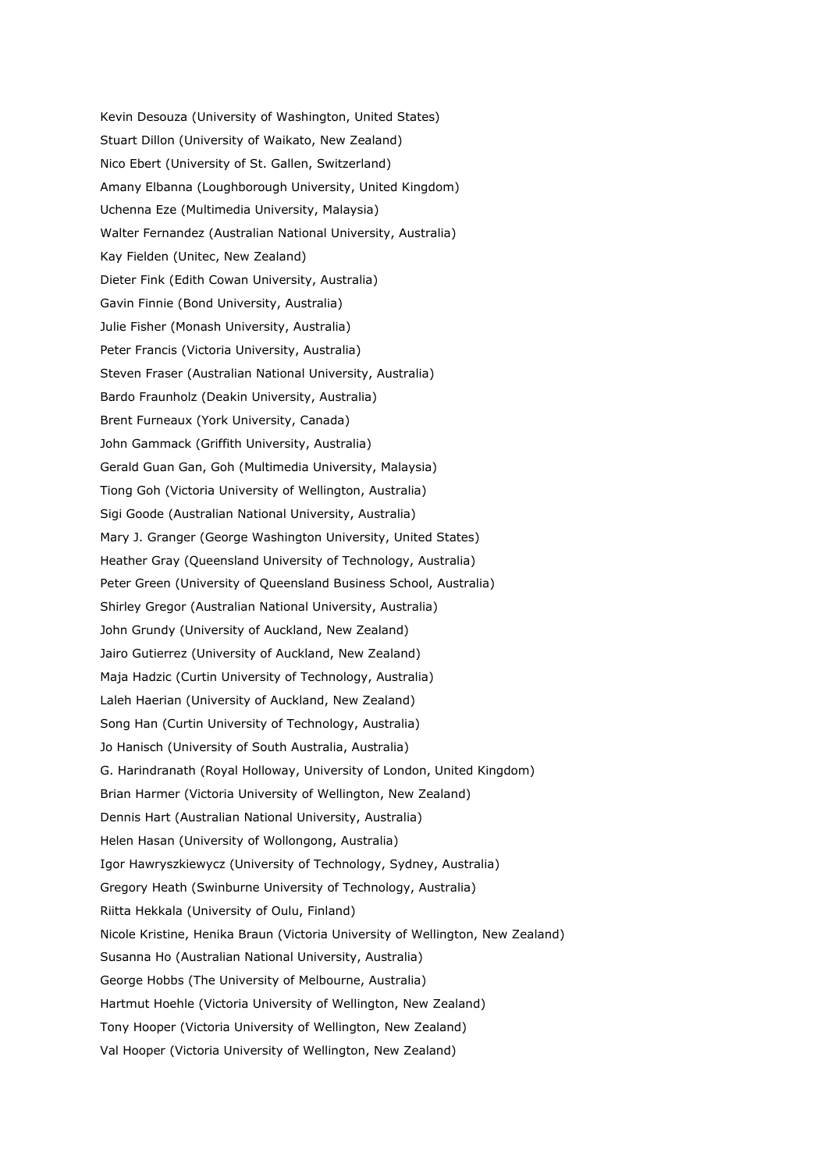Kevin Desouza (University of Washington, United States) Stuart Dillon (University of Waikato, New Zealand) Nico Ebert (University of St. Gallen, Switzerland) Amany Elbanna (Loughborough University, United Kingdom) Uchenna Eze (Multimedia University, Malaysia) Walter Fernandez (Australian National University, Australia) Kay Fielden (Unitec, New Zealand) Dieter Fink (Edith Cowan University, Australia) Gavin Finnie (Bond University, Australia) Julie Fisher (Monash University, Australia) Peter Francis (Victoria University, Australia) Steven Fraser (Australian National University, Australia) Bardo Fraunholz (Deakin University, Australia) Brent Furneaux (York University, Canada) John Gammack (Griffith University, Australia) Gerald Guan Gan, Goh (Multimedia University, Malaysia) Tiong Goh (Victoria University of Wellington, Australia) Sigi Goode (Australian National University, Australia) Mary J. Granger (George Washington University, United States) Heather Gray (Queensland University of Technology, Australia) Peter Green (University of Queensland Business School, Australia) Shirley Gregor (Australian National University, Australia) John Grundy (University of Auckland, New Zealand) Jairo Gutierrez (University of Auckland, New Zealand) Maja Hadzic (Curtin University of Technology, Australia) Laleh Haerian (University of Auckland, New Zealand) Song Han (Curtin University of Technology, Australia) Jo Hanisch (University of South Australia, Australia) G. Harindranath (Royal Holloway, University of London, United Kingdom) Brian Harmer (Victoria University of Wellington, New Zealand) Dennis Hart (Australian National University, Australia) Helen Hasan (University of Wollongong, Australia) Igor Hawryszkiewycz (University of Technology, Sydney, Australia) Gregory Heath (Swinburne University of Technology, Australia) Riitta Hekkala (University of Oulu, Finland) Nicole Kristine, Henika Braun (Victoria University of Wellington, New Zealand) Susanna Ho (Australian National University, Australia) George Hobbs (The University of Melbourne, Australia) Hartmut Hoehle (Victoria University of Wellington, New Zealand) Tony Hooper (Victoria University of Wellington, New Zealand) Val Hooper (Victoria University of Wellington, New Zealand)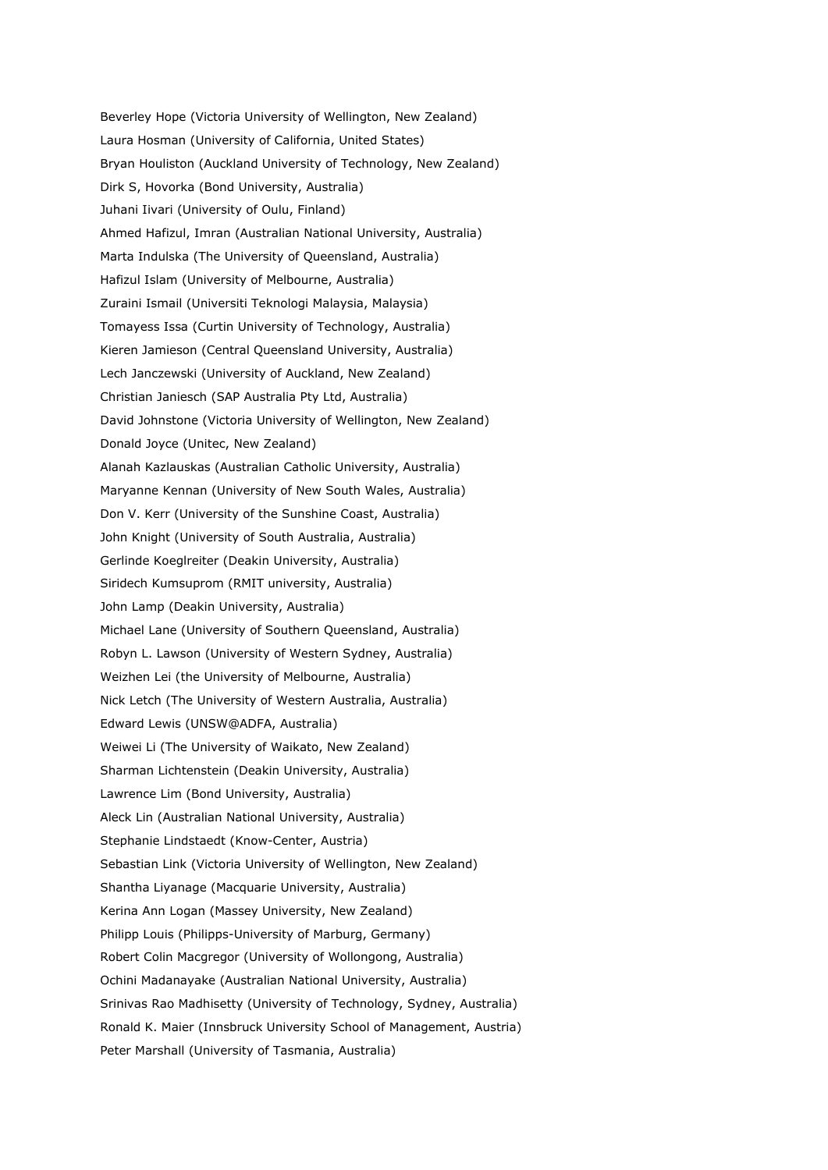Beverley Hope (Victoria University of Wellington, New Zealand) Laura Hosman (University of California, United States) Bryan Houliston (Auckland University of Technology, New Zealand) Dirk S, Hovorka (Bond University, Australia) Juhani Iivari (University of Oulu, Finland) Ahmed Hafizul, Imran (Australian National University, Australia) Marta Indulska (The University of Queensland, Australia) Hafizul Islam (University of Melbourne, Australia) Zuraini Ismail (Universiti Teknologi Malaysia, Malaysia) Tomayess Issa (Curtin University of Technology, Australia) Kieren Jamieson (Central Queensland University, Australia) Lech Janczewski (University of Auckland, New Zealand) Christian Janiesch (SAP Australia Pty Ltd, Australia) David Johnstone (Victoria University of Wellington, New Zealand) Donald Joyce (Unitec, New Zealand) Alanah Kazlauskas (Australian Catholic University, Australia) Maryanne Kennan (University of New South Wales, Australia) Don V. Kerr (University of the Sunshine Coast, Australia) John Knight (University of South Australia, Australia) Gerlinde Koeglreiter (Deakin University, Australia) Siridech Kumsuprom (RMIT university, Australia) John Lamp (Deakin University, Australia) Michael Lane (University of Southern Queensland, Australia) Robyn L. Lawson (University of Western Sydney, Australia) Weizhen Lei (the University of Melbourne, Australia) Nick Letch (The University of Western Australia, Australia) Edward Lewis (UNSW@ADFA, Australia) Weiwei Li (The University of Waikato, New Zealand) Sharman Lichtenstein (Deakin University, Australia) Lawrence Lim (Bond University, Australia) Aleck Lin (Australian National University, Australia) Stephanie Lindstaedt (Know-Center, Austria) Sebastian Link (Victoria University of Wellington, New Zealand) Shantha Liyanage (Macquarie University, Australia) Kerina Ann Logan (Massey University, New Zealand) Philipp Louis (Philipps-University of Marburg, Germany) Robert Colin Macgregor (University of Wollongong, Australia) Ochini Madanayake (Australian National University, Australia) Srinivas Rao Madhisetty (University of Technology, Sydney, Australia) Ronald K. Maier (Innsbruck University School of Management, Austria) Peter Marshall (University of Tasmania, Australia)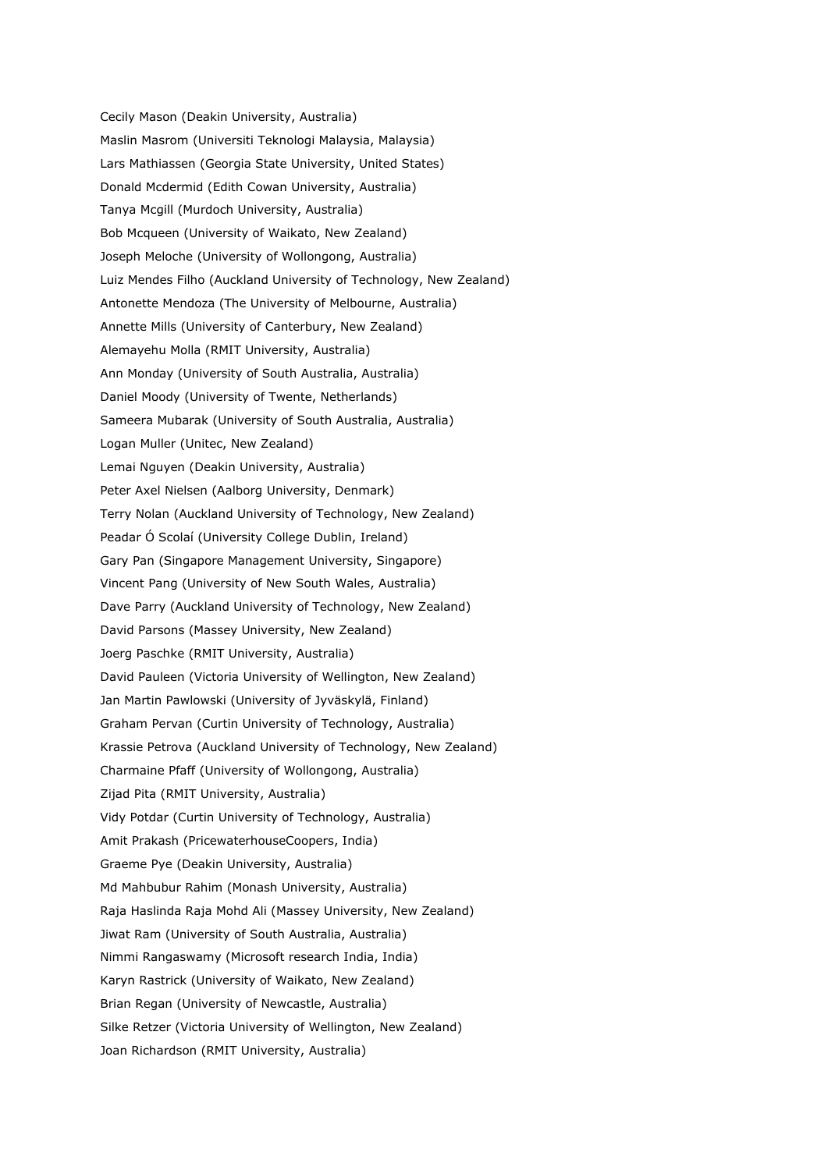Cecily Mason (Deakin University, Australia) Maslin Masrom (Universiti Teknologi Malaysia, Malaysia) Lars Mathiassen (Georgia State University, United States) Donald Mcdermid (Edith Cowan University, Australia) Tanya Mcgill (Murdoch University, Australia) Bob Mcqueen (University of Waikato, New Zealand) Joseph Meloche (University of Wollongong, Australia) Luiz Mendes Filho (Auckland University of Technology, New Zealand) Antonette Mendoza (The University of Melbourne, Australia) Annette Mills (University of Canterbury, New Zealand) Alemayehu Molla (RMIT University, Australia) Ann Monday (University of South Australia, Australia) Daniel Moody (University of Twente, Netherlands) Sameera Mubarak (University of South Australia, Australia) Logan Muller (Unitec, New Zealand) Lemai Nguyen (Deakin University, Australia) Peter Axel Nielsen (Aalborg University, Denmark) Terry Nolan (Auckland University of Technology, New Zealand) Peadar Ó Scolaí (University College Dublin, Ireland) Gary Pan (Singapore Management University, Singapore) Vincent Pang (University of New South Wales, Australia) Dave Parry (Auckland University of Technology, New Zealand) David Parsons (Massey University, New Zealand) Joerg Paschke (RMIT University, Australia) David Pauleen (Victoria University of Wellington, New Zealand) Jan Martin Pawlowski (University of Jyväskylä, Finland) Graham Pervan (Curtin University of Technology, Australia) Krassie Petrova (Auckland University of Technology, New Zealand) Charmaine Pfaff (University of Wollongong, Australia) Zijad Pita (RMIT University, Australia) Vidy Potdar (Curtin University of Technology, Australia) Amit Prakash (PricewaterhouseCoopers, India) Graeme Pye (Deakin University, Australia) Md Mahbubur Rahim (Monash University, Australia) Raja Haslinda Raja Mohd Ali (Massey University, New Zealand) Jiwat Ram (University of South Australia, Australia) Nimmi Rangaswamy (Microsoft research India, India) Karyn Rastrick (University of Waikato, New Zealand) Brian Regan (University of Newcastle, Australia) Silke Retzer (Victoria University of Wellington, New Zealand) Joan Richardson (RMIT University, Australia)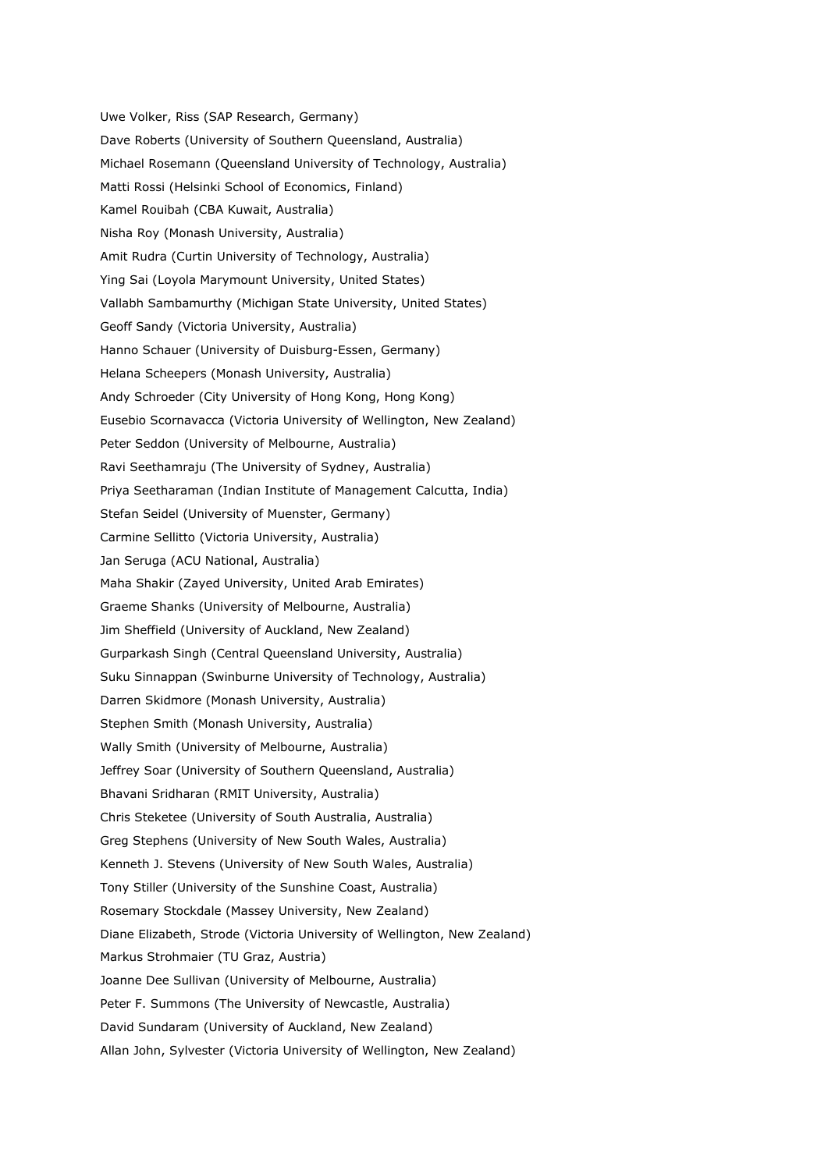Uwe Volker, Riss (SAP Research, Germany) Dave Roberts (University of Southern Queensland, Australia) Michael Rosemann (Queensland University of Technology, Australia) Matti Rossi (Helsinki School of Economics, Finland) Kamel Rouibah (CBA Kuwait, Australia) Nisha Roy (Monash University, Australia) Amit Rudra (Curtin University of Technology, Australia) Ying Sai (Loyola Marymount University, United States) Vallabh Sambamurthy (Michigan State University, United States) Geoff Sandy (Victoria University, Australia) Hanno Schauer (University of Duisburg-Essen, Germany) Helana Scheepers (Monash University, Australia) Andy Schroeder (City University of Hong Kong, Hong Kong) Eusebio Scornavacca (Victoria University of Wellington, New Zealand) Peter Seddon (University of Melbourne, Australia) Ravi Seethamraju (The University of Sydney, Australia) Priya Seetharaman (Indian Institute of Management Calcutta, India) Stefan Seidel (University of Muenster, Germany) Carmine Sellitto (Victoria University, Australia) Jan Seruga (ACU National, Australia) Maha Shakir (Zayed University, United Arab Emirates) Graeme Shanks (University of Melbourne, Australia) Jim Sheffield (University of Auckland, New Zealand) Gurparkash Singh (Central Queensland University, Australia) Suku Sinnappan (Swinburne University of Technology, Australia) Darren Skidmore (Monash University, Australia) Stephen Smith (Monash University, Australia) Wally Smith (University of Melbourne, Australia) Jeffrey Soar (University of Southern Queensland, Australia) Bhavani Sridharan (RMIT University, Australia) Chris Steketee (University of South Australia, Australia) Greg Stephens (University of New South Wales, Australia) Kenneth J. Stevens (University of New South Wales, Australia) Tony Stiller (University of the Sunshine Coast, Australia) Rosemary Stockdale (Massey University, New Zealand) Diane Elizabeth, Strode (Victoria University of Wellington, New Zealand) Markus Strohmaier (TU Graz, Austria) Joanne Dee Sullivan (University of Melbourne, Australia) Peter F. Summons (The University of Newcastle, Australia) David Sundaram (University of Auckland, New Zealand) Allan John, Sylvester (Victoria University of Wellington, New Zealand)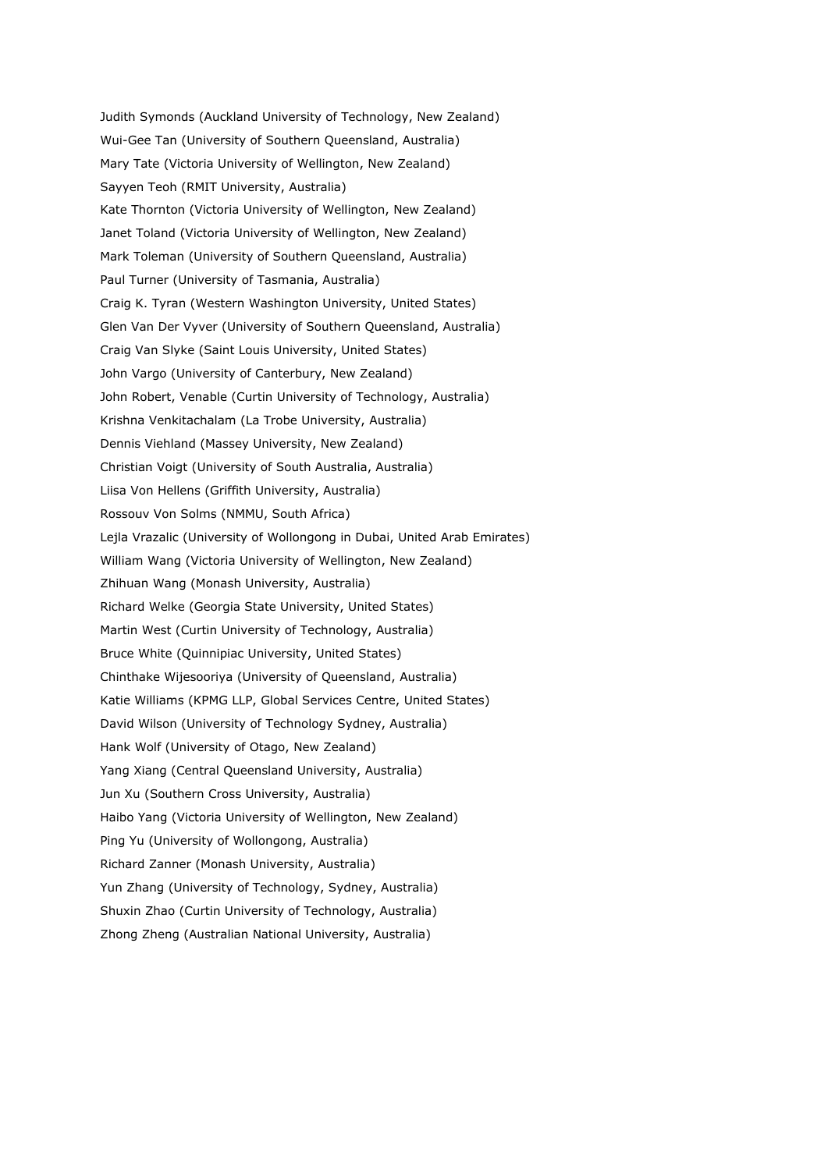Judith Symonds (Auckland University of Technology, New Zealand) Wui-Gee Tan (University of Southern Queensland, Australia) Mary Tate (Victoria University of Wellington, New Zealand) Sayyen Teoh (RMIT University, Australia) Kate Thornton (Victoria University of Wellington, New Zealand) Janet Toland (Victoria University of Wellington, New Zealand) Mark Toleman (University of Southern Queensland, Australia) Paul Turner (University of Tasmania, Australia) Craig K. Tyran (Western Washington University, United States) Glen Van Der Vyver (University of Southern Queensland, Australia) Craig Van Slyke (Saint Louis University, United States) John Vargo (University of Canterbury, New Zealand) John Robert, Venable (Curtin University of Technology, Australia) Krishna Venkitachalam (La Trobe University, Australia) Dennis Viehland (Massey University, New Zealand) Christian Voigt (University of South Australia, Australia) Liisa Von Hellens (Griffith University, Australia) Rossouv Von Solms (NMMU, South Africa) Lejla Vrazalic (University of Wollongong in Dubai, United Arab Emirates) William Wang (Victoria University of Wellington, New Zealand) Zhihuan Wang (Monash University, Australia) Richard Welke (Georgia State University, United States) Martin West (Curtin University of Technology, Australia) Bruce White (Quinnipiac University, United States) Chinthake Wijesooriya (University of Queensland, Australia) Katie Williams (KPMG LLP, Global Services Centre, United States) David Wilson (University of Technology Sydney, Australia) Hank Wolf (University of Otago, New Zealand) Yang Xiang (Central Queensland University, Australia) Jun Xu (Southern Cross University, Australia) Haibo Yang (Victoria University of Wellington, New Zealand) Ping Yu (University of Wollongong, Australia) Richard Zanner (Monash University, Australia) Yun Zhang (University of Technology, Sydney, Australia) Shuxin Zhao (Curtin University of Technology, Australia) Zhong Zheng (Australian National University, Australia)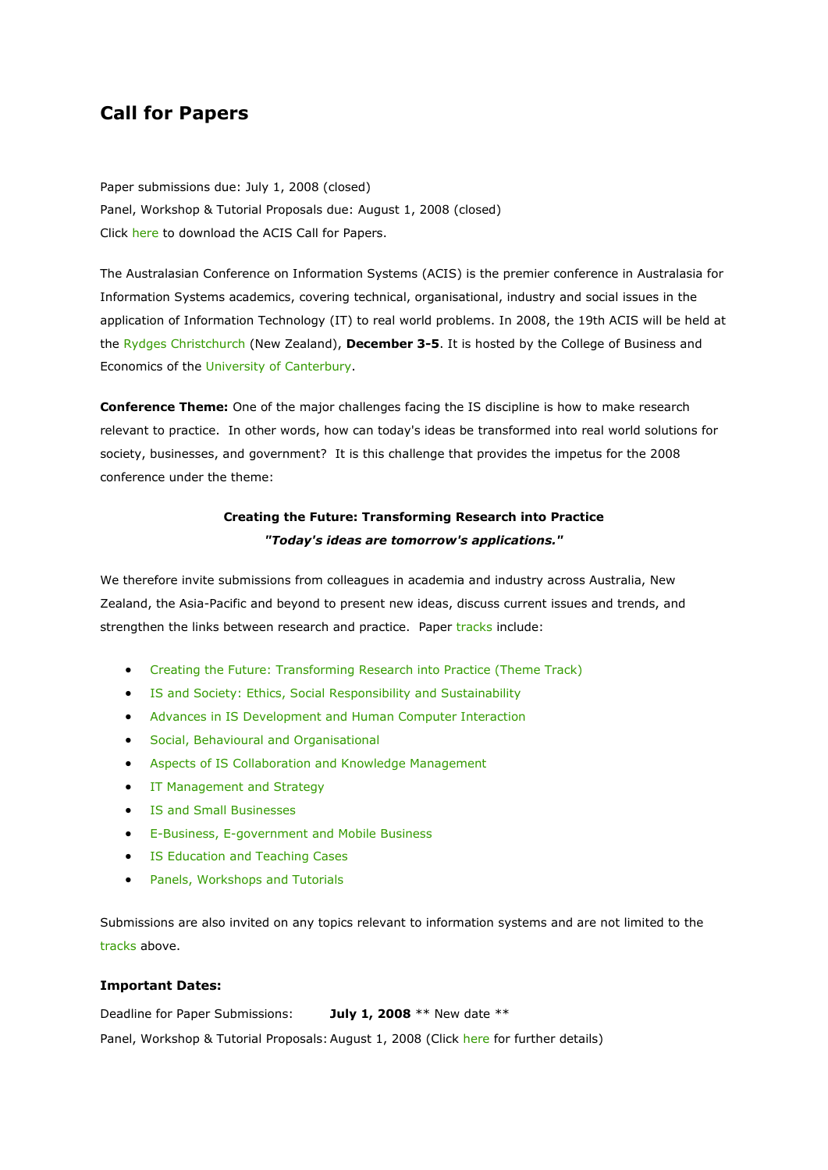### **Call for Papers**

Paper submissions due: July 1, 2008 (closed) Panel, Workshop & Tutorial Proposals due: August 1, 2008 (closed) Click [here](http://www.bsec.canterbury.ac.nz/acis2008/ACIS2008_CFP.pdf) to download the ACIS Call for Papers.

The Australasian Conference on Information Systems (ACIS) is the premier conference in Australasia for Information Systems academics, covering technical, organisational, industry and social issues in the application of Information Technology (IT) to real world problems. In 2008, the 19th ACIS will be held at the [Rydges Christchurch](http://www.rydges.com/hotel/0/RZCHCH/Rydges-Hotel-Christchurch.htm) (New Zealand), **December 3-5**. It is hosted by the College of Business and Economics of the [University of Canterbury.](http://www.canterbury.ac.nz/)

**Conference Theme:** One of the major challenges facing the IS discipline is how to make research relevant to practice. In other words, how can today's ideas be transformed into real world solutions for society, businesses, and government? It is this challenge that provides the impetus for the 2008 conference under the theme:

### **Creating the Future: Transforming Research into Practice** *"Today's ideas are tomorrow's applications."*

We therefore invite submissions from colleagues in academia and industry across Australia, New Zealand, the Asia-Pacific and beyond to present new ideas, discuss current issues and trends, and strengthen the links between research and practice. Paper [tracks](http://www.bsec.canterbury.ac.nz/acis2008/tracks.html) include:

- [Creating the Future: Transforming Research into Practice \(Theme Track\)](http://www.bsec.canterbury.ac.nz/acis2008/tracks.html#theme)
- [IS and Society: Ethics, Social Responsibility and Sustainability](http://www.bsec.canterbury.ac.nz/acis2008/tracks.html#society)
- [Advances in IS Development and Human Computer Interaction](http://www.bsec.canterbury.ac.nz/acis2008/tracks.html#advances)
- [Social, Behavioural and Organisational](http://www.bsec.canterbury.ac.nz/acis2008/tracks.html#social)
- [Aspects of IS Collaboration and Knowledge Management](http://www.bsec.canterbury.ac.nz/acis2008/tracks.html#collaboration)
- **•** IT Management and Strategy
- **[IS and Small Businesses](http://www.bsec.canterbury.ac.nz/acis2008/tracks.html#sme)**
- [E-Business, E-government and Mobile Business](http://www.bsec.canterbury.ac.nz/acis2008/tracks.html#ebusiness)
- **[IS Education and Teaching Cases](http://www.bsec.canterbury.ac.nz/acis2008/tracks.html#education)**
- [Panels, Workshops and Tutorials](http://www.bsec.canterbury.ac.nz/acis2008/tracks.html#panels)

Submissions are also invited on any topics relevant to information systems and are not limited to the [tracks](http://www.bsec.canterbury.ac.nz/acis2008/tracks.html) above.

#### **Important Dates:**

Deadline for Paper Submissions: **July 1, 2008** \*\* New date \*\* Panel, Workshop & Tutorial Proposals: August 1, 2008 (Click [here](http://www.bsec.canterbury.ac.nz/acis2008/tracks.html#panels) for further details)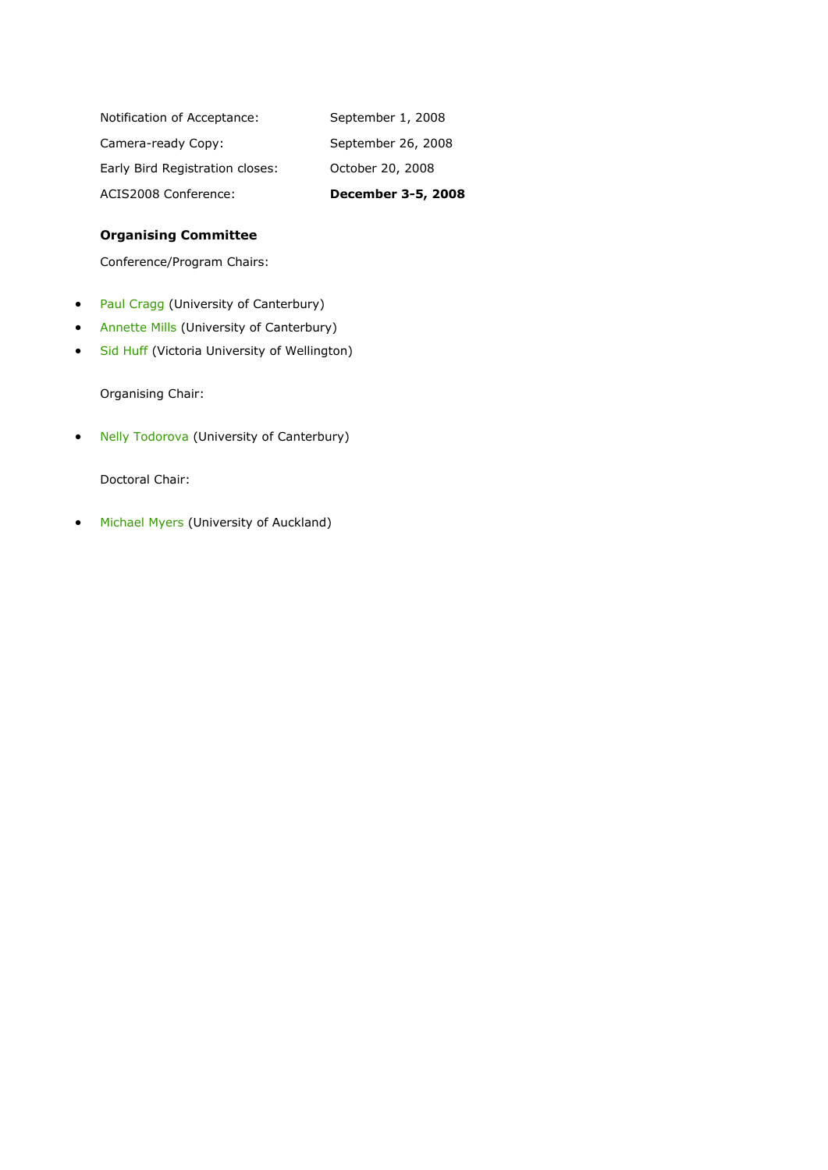| ACIS2008 Conference:            | December 3-5, 2008 |
|---------------------------------|--------------------|
| Early Bird Registration closes: | October 20, 2008   |
| Camera-ready Copy:              | September 26, 2008 |
| Notification of Acceptance:     | September 1, 2008  |

### **Organising Committee**

Conference/Program Chairs:

- [Paul Cragg](mailto:paul.cragg@canterbury.ac.nz) (University of Canterbury)
- **•** [Annette Mills](mailto:annette.mills@canterbury.ac.nz) (University of Canterbury)
- [Sid Huff](mailto:sid.huff@vuw.ac.nz) (Victoria University of Wellington)

Organising Chair:

• [Nelly Todorova](mailto:nelly.todorova@canterbury.ac.nz) (University of Canterbury)

Doctoral Chair:

• [Michael Myers](mailto:m.myers@auckland.ac.nz) (University of Auckland)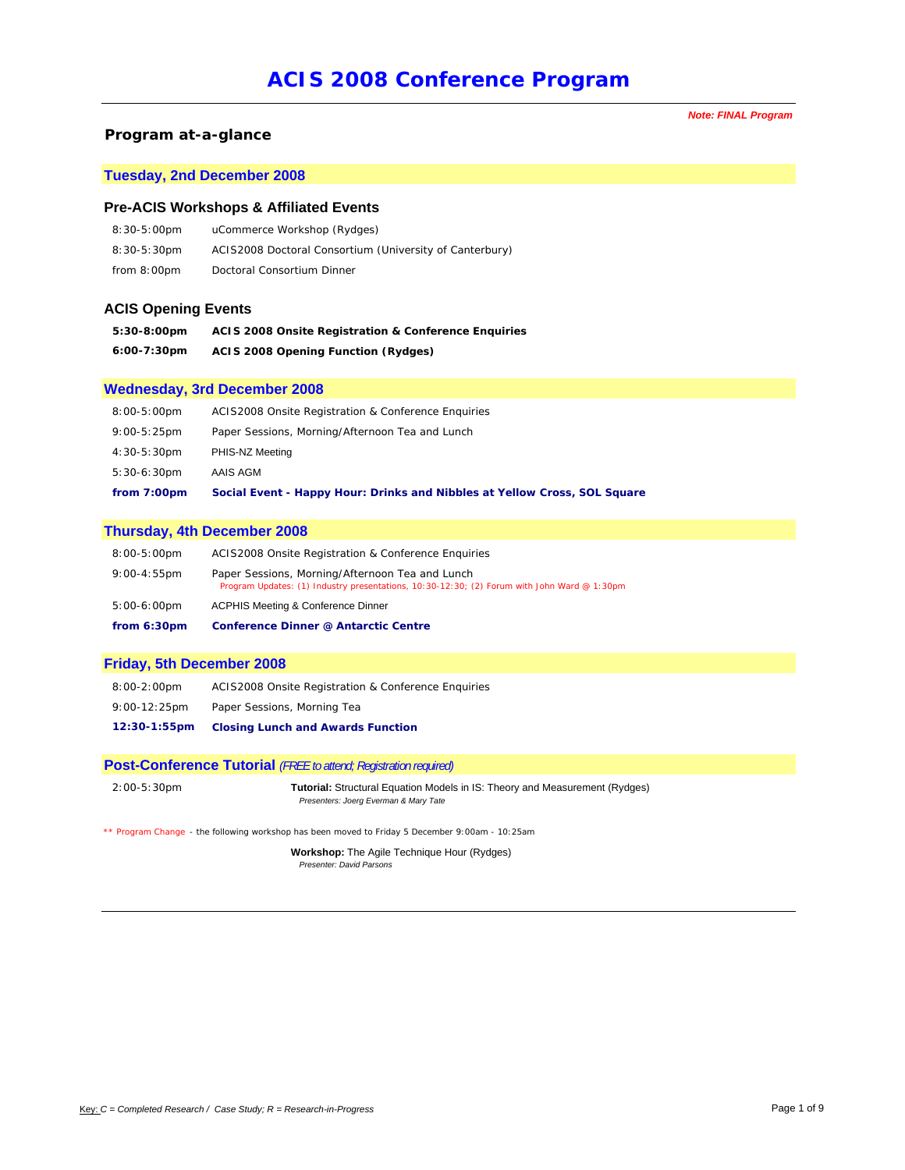#### *Program at-a-glance*

### **Tuesday, 2nd December 2008**

#### **Pre-ACIS Workshops & Affiliated Events**

| $8:30-5:00 \text{pm}$ | uCommerce Workshop (Rydges)                             |
|-----------------------|---------------------------------------------------------|
| 8:30-5:30pm           | ACIS2008 Doctoral Consortium (University of Canterbury) |
| from 8:00pm           | Doctoral Consortium Dinner                              |

#### **ACIS Opening Events**

| 5:30-8:00pm | <b>ACIS 2008 Onsite Registration &amp; Conference Enguiries</b> |
|-------------|-----------------------------------------------------------------|
| 6:00-7:30pm | <b>ACIS 2008 Opening Function (Rydges)</b>                      |

#### **Wednesday, 3rd December 2008**

| from 7:00pm           | Social Event - Happy Hour: Drinks and Nibbles at Yellow Cross, SOL Square |
|-----------------------|---------------------------------------------------------------------------|
| 5:30-6:30pm           | AAIS AGM                                                                  |
| 4:30-5:30pm           | PHIS-NZ Meeting                                                           |
| $9:00-5:25 \text{pm}$ | Paper Sessions, Morning/Afternoon Tea and Lunch                           |
| 8:00-5:00pm           | ACIS2008 Onsite Registration & Conference Enguiries                       |

#### **Thursday, 4th December 2008**

| from 6:30pm           | <b>Conference Dinner @ Antarctic Centre</b>                                                                                                    |
|-----------------------|------------------------------------------------------------------------------------------------------------------------------------------------|
| $5:00-6:00 \text{pm}$ | <b>ACPHIS Meeting &amp; Conference Dinner</b>                                                                                                  |
| $9:00 - 4:55$ pm      | Paper Sessions, Morning/Afternoon Tea and Lunch<br>Program Updates: (1) Industry presentations, 10:30-12:30; (2) Forum with John Ward @ 1:30pm |
| $8:00-5:00 \text{pm}$ | ACIS2008 Onsite Registration & Conference Enguiries                                                                                            |

#### **Friday, 5th December 2008**

| 12:30-1:55pm    | <b>Closing Lunch and Awards Function</b>            |
|-----------------|-----------------------------------------------------|
| $9:00-12:25$ pm | Paper Sessions, Morning Tea                         |
| 8:00-2:00pm     | ACIS2008 Onsite Registration & Conference Enguiries |

#### **Post-Conference Tutorial** *(FREE to attend; Registration required)*

```
2:00-5:30pm Tutorial: Structural Equation Models in IS: Theory and Measurement (Rydges)
                     Presenters: Joerg Everman & Mary Tate
```
*\*\* Program Change - the following workshop has been moved to Friday 5 December 9:00am - 10:25am*

**Workshop:** The Agile Technique Hour (Rydges) *Presenter: David Parsons* 

*Note: FINAL Program*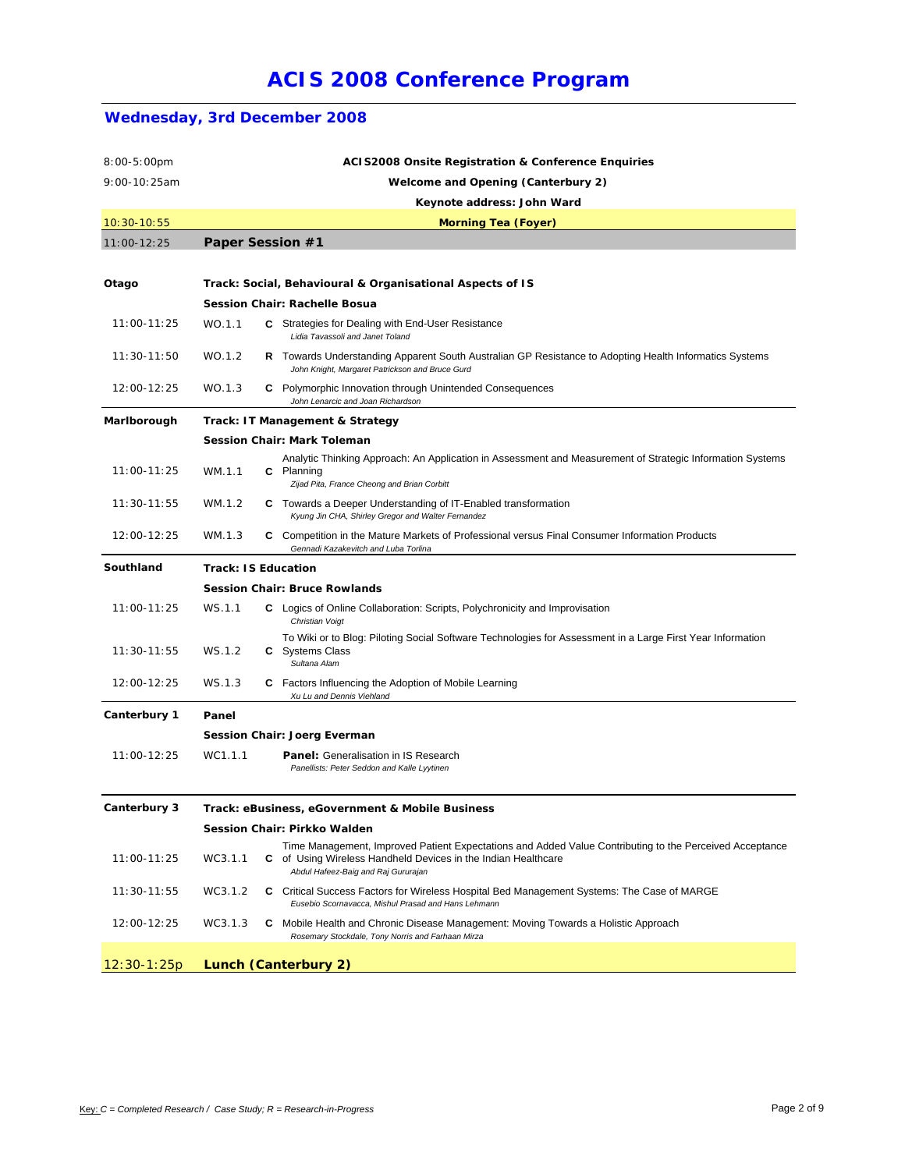| $8:00-5:00$ pm      |                                    | <b>ACIS2008 Onsite Registration &amp; Conference Enquiries</b>                                                                                                                                                  |  |  |  |
|---------------------|------------------------------------|-----------------------------------------------------------------------------------------------------------------------------------------------------------------------------------------------------------------|--|--|--|
| 9:00-10:25am        | Welcome and Opening (Canterbury 2) |                                                                                                                                                                                                                 |  |  |  |
|                     | Keynote address: John Ward         |                                                                                                                                                                                                                 |  |  |  |
| $10:30-10:55$       | <b>Morning Tea (Foyer)</b>         |                                                                                                                                                                                                                 |  |  |  |
| 11:00-12:25         |                                    | Paper Session #1                                                                                                                                                                                                |  |  |  |
|                     |                                    |                                                                                                                                                                                                                 |  |  |  |
| Otago               |                                    | Track: Social, Behavioural & Organisational Aspects of IS                                                                                                                                                       |  |  |  |
|                     |                                    | Session Chair: Rachelle Bosua                                                                                                                                                                                   |  |  |  |
| 11:00-11:25         | WO.1.1                             | C Strategies for Dealing with End-User Resistance<br>Lidia Tavassoli and Janet Toland                                                                                                                           |  |  |  |
| 11:30-11:50         | WO.1.2                             | R Towards Understanding Apparent South Australian GP Resistance to Adopting Health Informatics Systems<br>John Knight, Margaret Patrickson and Bruce Gurd                                                       |  |  |  |
| 12:00-12:25         | WO.1.3                             | C Polymorphic Innovation through Unintended Consequences<br>John Lenarcic and Joan Richardson                                                                                                                   |  |  |  |
| Marlborough         |                                    | Track: IT Management & Strategy                                                                                                                                                                                 |  |  |  |
|                     |                                    | <b>Session Chair: Mark Toleman</b>                                                                                                                                                                              |  |  |  |
| 11:00-11:25         | WM.1.1                             | Analytic Thinking Approach: An Application in Assessment and Measurement of Strategic Information Systems<br>C Planning<br>Zijad Pita, France Cheong and Brian Corbitt                                          |  |  |  |
| 11:30-11:55         | WM.1.2                             | <b>C</b> Towards a Deeper Understanding of IT-Enabled transformation<br>Kyung Jin CHA, Shirley Gregor and Walter Fernandez                                                                                      |  |  |  |
| 12:00-12:25         | WM.1.3                             | C Competition in the Mature Markets of Professional versus Final Consumer Information Products<br>Gennadi Kazakevitch and Luba Torlina                                                                          |  |  |  |
| Southland           |                                    | <b>Track: IS Education</b>                                                                                                                                                                                      |  |  |  |
|                     |                                    | <b>Session Chair: Bruce Rowlands</b>                                                                                                                                                                            |  |  |  |
| 11:00-11:25         | WS.1.1                             | <b>C</b> Logics of Online Collaboration: Scripts, Polychronicity and Improvisation<br>Christian Voigt                                                                                                           |  |  |  |
| 11:30-11:55         | WS.1.2                             | To Wiki or to Blog: Piloting Social Software Technologies for Assessment in a Large First Year Information<br><b>C</b> Systems Class<br>Sultana Alam                                                            |  |  |  |
| 12:00-12:25         | WS.1.3                             | <b>C</b> Factors Influencing the Adoption of Mobile Learning<br>Xu Lu and Dennis Viehland                                                                                                                       |  |  |  |
| Canterbury 1        | Panel                              |                                                                                                                                                                                                                 |  |  |  |
|                     |                                    | <b>Session Chair: Joerg Everman</b>                                                                                                                                                                             |  |  |  |
| 11:00-12:25         | WC1.1.1                            | <b>Panel:</b> Generalisation in IS Research<br>Panellists: Peter Seddon and Kalle Lyytinen                                                                                                                      |  |  |  |
| <b>Canterbury 3</b> |                                    | Track: eBusiness, eGovernment & Mobile Business                                                                                                                                                                 |  |  |  |
|                     |                                    | Session Chair: Pirkko Walden                                                                                                                                                                                    |  |  |  |
| 11:00-11:25         | WC3.1.1                            | Time Management, Improved Patient Expectations and Added Value Contributing to the Perceived Acceptance<br>C of Using Wireless Handheld Devices in the Indian Healthcare<br>Abdul Hafeez-Baig and Raj Gururajan |  |  |  |
| 11:30-11:55         | WC3.1.2                            | C Critical Success Factors for Wireless Hospital Bed Management Systems: The Case of MARGE<br>Eusebio Scornavacca, Mishul Prasad and Hans Lehmann                                                               |  |  |  |
| 12:00-12:25         | WC3.1.3                            | C Mobile Health and Chronic Disease Management: Moving Towards a Holistic Approach<br>Rosemary Stockdale, Tony Norris and Farhaan Mirza                                                                         |  |  |  |
| $12:30-1:25p$       |                                    | Lunch (Canterbury 2)                                                                                                                                                                                            |  |  |  |

## **Wednesday, 3rd December 2008**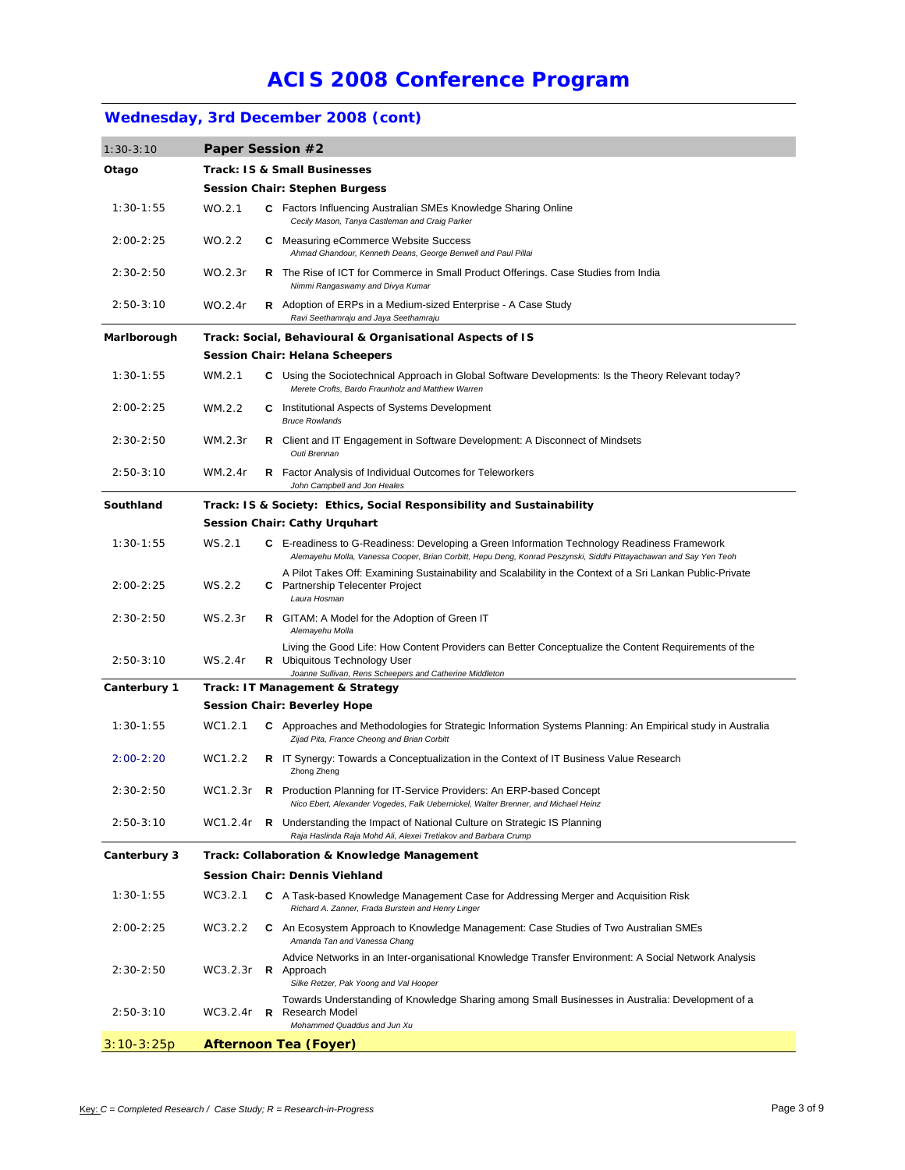## **Wednesday, 3rd December 2008 (cont)**

| $1:30-3:10$   | Paper Session #2                            |  |                                                                                                                                                                                                                   |
|---------------|---------------------------------------------|--|-------------------------------------------------------------------------------------------------------------------------------------------------------------------------------------------------------------------|
| Otago         | Track: IS & Small Businesses                |  |                                                                                                                                                                                                                   |
|               | <b>Session Chair: Stephen Burgess</b>       |  |                                                                                                                                                                                                                   |
| $1:30-1:55$   | WO.2.1                                      |  | <b>C</b> Factors Influencing Australian SMEs Knowledge Sharing Online<br>Cecily Mason, Tanya Castleman and Craig Parker                                                                                           |
| 2:00-2:25     | WO.2.2                                      |  | <b>C</b> Measuring eCommerce Website Success<br>Ahmad Ghandour, Kenneth Deans, George Benwell and Paul Pillai                                                                                                     |
| $2:30 - 2:50$ | WO.2.3r                                     |  | <b>R</b> The Rise of ICT for Commerce in Small Product Offerings. Case Studies from India<br>Nimmi Rangaswamy and Divya Kumar                                                                                     |
| $2:50-3:10$   | WO.2.4r                                     |  | <b>R</b> Adoption of ERPs in a Medium-sized Enterprise - A Case Study<br>Ravi Seethamraju and Jaya Seethamraju                                                                                                    |
| Marlborough   |                                             |  | Track: Social, Behavioural & Organisational Aspects of IS                                                                                                                                                         |
|               |                                             |  | <b>Session Chair: Helana Scheepers</b>                                                                                                                                                                            |
| $1:30 - 1:55$ | WM.2.1                                      |  | C Using the Sociotechnical Approach in Global Software Developments: Is the Theory Relevant today?<br>Merete Crofts, Bardo Fraunholz and Matthew Warren                                                           |
| $2:00 - 2:25$ | WM.2.2                                      |  | <b>C</b> Institutional Aspects of Systems Development<br><b>Bruce Rowlands</b>                                                                                                                                    |
| $2:30-2:50$   | WM.2.3r                                     |  | <b>R</b> Client and IT Engagement in Software Development: A Disconnect of Mindsets<br>Outi Brennan                                                                                                               |
| $2:50-3:10$   | WM.2.4r                                     |  | <b>R</b> Factor Analysis of Individual Outcomes for Teleworkers<br>John Campbell and Jon Heales                                                                                                                   |
| Southland     |                                             |  | Track: IS & Society: Ethics, Social Responsibility and Sustainability                                                                                                                                             |
|               |                                             |  | Session Chair: Cathy Urquhart                                                                                                                                                                                     |
| $1:30 - 1:55$ | WS.2.1                                      |  | C E-readiness to G-Readiness: Developing a Green Information Technology Readiness Framework<br>Alemayehu Molla, Vanessa Cooper, Brian Corbitt, Hepu Deng, Konrad Peszynski, Siddhi Pittayachawan and Say Yen Teoh |
| $2:00 - 2:25$ | WS.2.2                                      |  | A Pilot Takes Off: Examining Sustainability and Scalability in the Context of a Sri Lankan Public-Private<br>C Partnership Telecenter Project<br>Laura Hosman                                                     |
| $2:30-2:50$   | WS.2.3r                                     |  | <b>R</b> GITAM: A Model for the Adoption of Green IT<br>Alemayehu Molla                                                                                                                                           |
| $2:50-3:10$   | WS.2.4r                                     |  | Living the Good Life: How Content Providers can Better Conceptualize the Content Requirements of the<br><b>R</b> Ubiquitous Technology User<br>Joanne Sullivan, Rens Scheepers and Catherine Middleton            |
| Canterbury 1  | Track: IT Management & Strategy             |  |                                                                                                                                                                                                                   |
|               |                                             |  | <b>Session Chair: Beverley Hope</b>                                                                                                                                                                               |
| $1:30 - 1:55$ | WC1.2.1                                     |  | C Approaches and Methodologies for Strategic Information Systems Planning: An Empirical study in Australia<br>Zijad Pita, France Cheong and Brian Corbitt                                                         |
| $2:00 - 2:20$ | WC1.2.2                                     |  | <b>R</b> IT Synergy: Towards a Conceptualization in the Context of IT Business Value Research<br>Zhong Zheng                                                                                                      |
| 2:30-2:50     | WC1.2.3r                                    |  | R Production Planning for IT-Service Providers: An ERP-based Concept<br>Nico Ebert, Alexander Vogedes, Falk Uebernickel, Walter Brenner, and Michael Heinz                                                        |
| 2:50-3:10     | WC1.2.4r                                    |  | R Understanding the Impact of National Culture on Strategic IS Planning<br>Raja Haslinda Raja Mohd Ali, Alexei Tretiakov and Barbara Crump                                                                        |
| Canterbury 3  | Track: Collaboration & Knowledge Management |  |                                                                                                                                                                                                                   |
|               |                                             |  | Session Chair: Dennis Viehland                                                                                                                                                                                    |
| $1:30-1:55$   | WC3.2.1                                     |  | C A Task-based Knowledge Management Case for Addressing Merger and Acquisition Risk<br>Richard A. Zanner, Frada Burstein and Henry Linger                                                                         |
| $2:00 - 2:25$ | WC3.2.2                                     |  | C An Ecosystem Approach to Knowledge Management: Case Studies of Two Australian SMEs<br>Amanda Tan and Vanessa Chang                                                                                              |
| $2:30-2:50$   | WC3.2.3r                                    |  | Advice Networks in an Inter-organisational Knowledge Transfer Environment: A Social Network Analysis<br>R Approach<br>Silke Retzer, Pak Yoong and Val Hooper                                                      |
| 2:50-3:10     | WC3.2.4r                                    |  | Towards Understanding of Knowledge Sharing among Small Businesses in Australia: Development of a<br><b>R</b> Research Model<br>Mohammed Quaddus and Jun Xu                                                        |
| $3:10-3:25p$  |                                             |  | <b>Afternoon Tea (Foyer)</b>                                                                                                                                                                                      |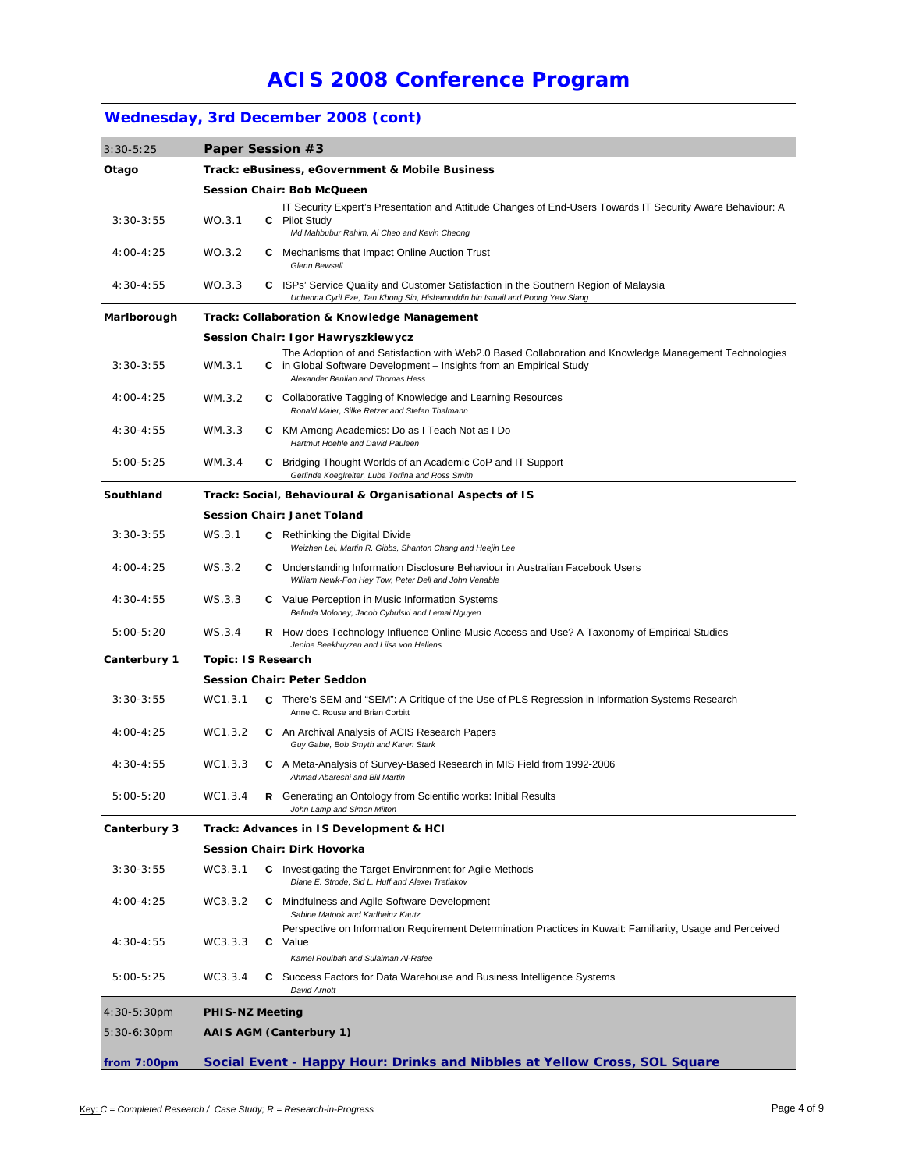## **Wednesday, 3rd December 2008 (cont)**

| $3:30-5:25$    | Paper Session #3                                |  |                                                                                                                                                                                                                    |
|----------------|-------------------------------------------------|--|--------------------------------------------------------------------------------------------------------------------------------------------------------------------------------------------------------------------|
| Otago          | Track: eBusiness, eGovernment & Mobile Business |  |                                                                                                                                                                                                                    |
|                | Session Chair: Bob McQueen                      |  |                                                                                                                                                                                                                    |
|                |                                                 |  | IT Security Expert's Presentation and Attitude Changes of End-Users Towards IT Security Aware Behaviour: A                                                                                                         |
| $3:30-3:55$    | WO.3.1                                          |  | <b>C</b> Pilot Study<br>Md Mahbubur Rahim, Ai Cheo and Kevin Cheong                                                                                                                                                |
| $4:00 - 4:25$  | WO.3.2                                          |  | <b>C</b> Mechanisms that Impact Online Auction Trust                                                                                                                                                               |
|                |                                                 |  | <b>Glenn Bewsell</b>                                                                                                                                                                                               |
| $4:30 - 4:55$  | WO.3.3                                          |  | C ISPs' Service Quality and Customer Satisfaction in the Southern Region of Malaysia<br>Uchenna Cyril Eze, Tan Khong Sin, Hishamuddin bin Ismail and Poong Yew Siang                                               |
| Marlborough    |                                                 |  | Track: Collaboration & Knowledge Management                                                                                                                                                                        |
|                |                                                 |  | Session Chair: Igor Hawryszkiewycz                                                                                                                                                                                 |
| $3:30-3:55$    | WM.3.1                                          |  | The Adoption of and Satisfaction with Web2.0 Based Collaboration and Knowledge Management Technologies<br>C in Global Software Development - Insights from an Empirical Study<br>Alexander Benlian and Thomas Hess |
| $4:00 - 4:25$  | WM.3.2                                          |  | C Collaborative Tagging of Knowledge and Learning Resources<br>Ronald Maier, Silke Retzer and Stefan Thalmann                                                                                                      |
| $4:30 - 4:55$  | WM.3.3                                          |  | C KM Among Academics: Do as I Teach Not as I Do<br>Hartmut Hoehle and David Pauleen                                                                                                                                |
| $5:00-5:25$    | WM.3.4                                          |  | <b>C</b> Bridging Thought Worlds of an Academic CoP and IT Support<br>Gerlinde Koeglreiter, Luba Torlina and Ross Smith                                                                                            |
| Southland      |                                                 |  | Track: Social, Behavioural & Organisational Aspects of IS                                                                                                                                                          |
|                |                                                 |  | Session Chair: Janet Toland                                                                                                                                                                                        |
| $3:30-3:55$    | WS.3.1                                          |  | <b>C</b> Rethinking the Digital Divide<br>Weizhen Lei, Martin R. Gibbs, Shanton Chang and Heejin Lee                                                                                                               |
| $4:00 - 4:25$  | WS.3.2                                          |  | C Understanding Information Disclosure Behaviour in Australian Facebook Users<br>William Newk-Fon Hey Tow, Peter Dell and John Venable                                                                             |
| $4:30-4:55$    | WS.3.3                                          |  | C Value Perception in Music Information Systems<br>Belinda Moloney, Jacob Cybulski and Lemai Nguyen                                                                                                                |
| $5:00-5:20$    | WS.3.4                                          |  | <b>R</b> How does Technology Influence Online Music Access and Use? A Taxonomy of Empirical Studies<br>Jenine Beekhuyzen and Liisa von Hellens                                                                     |
| Canterbury 1   | <b>Topic: IS Research</b>                       |  |                                                                                                                                                                                                                    |
|                |                                                 |  | <b>Session Chair: Peter Seddon</b>                                                                                                                                                                                 |
| $3:30-3:55$    | WC1.3.1                                         |  | C There's SEM and "SEM": A Critique of the Use of PLS Regression in Information Systems Research<br>Anne C. Rouse and Brian Corbitt                                                                                |
| $4:00 - 4:25$  | WC1.3.2                                         |  | <b>C</b> An Archival Analysis of ACIS Research Papers<br>Guy Gable, Bob Smyth and Karen Stark                                                                                                                      |
| 4:30-4:55      | WC1.3.3                                         |  | C A Meta-Analysis of Survey-Based Research in MIS Field from 1992-2006<br>Ahmad Abareshi and Bill Martin                                                                                                           |
| $5:00-5:20$    | WC1.3.4                                         |  | <b>R</b> Generating an Ontology from Scientific works: Initial Results<br>John Lamp and Simon Milton                                                                                                               |
| Canterbury 3   | Track: Advances in IS Development & HCI         |  |                                                                                                                                                                                                                    |
|                |                                                 |  | Session Chair: Dirk Hovorka                                                                                                                                                                                        |
| $3:30-3:55$    | WC3.3.1                                         |  | <b>C</b> Investigating the Target Environment for Agile Methods<br>Diane E. Strode, Sid L. Huff and Alexei Tretiakov                                                                                               |
| $4:00 - 4:25$  | WC3.3.2                                         |  | <b>C</b> Mindfulness and Agile Software Development<br>Sabine Matook and Karlheinz Kautz                                                                                                                           |
| $4:30 - 4:55$  | WC3.3.3                                         |  | Perspective on Information Requirement Determination Practices in Kuwait: Familiarity, Usage and Perceived<br><b>C</b> Value                                                                                       |
| $5:00-5:25$    | WC3.3.4                                         |  | Kamel Rouibah and Sulaiman Al-Rafee<br>C Success Factors for Data Warehouse and Business Intelligence Systems                                                                                                      |
|                |                                                 |  | David Arnott                                                                                                                                                                                                       |
| $4:30-5:30$ pm | <b>PHIS-NZ Meeting</b>                          |  |                                                                                                                                                                                                                    |
| $5:30-6:30$ pm |                                                 |  | <b>AAIS AGM (Canterbury 1)</b>                                                                                                                                                                                     |
| from 7:00pm    |                                                 |  | Social Event - Happy Hour: Drinks and Nibbles at Yellow Cross, SOL Square                                                                                                                                          |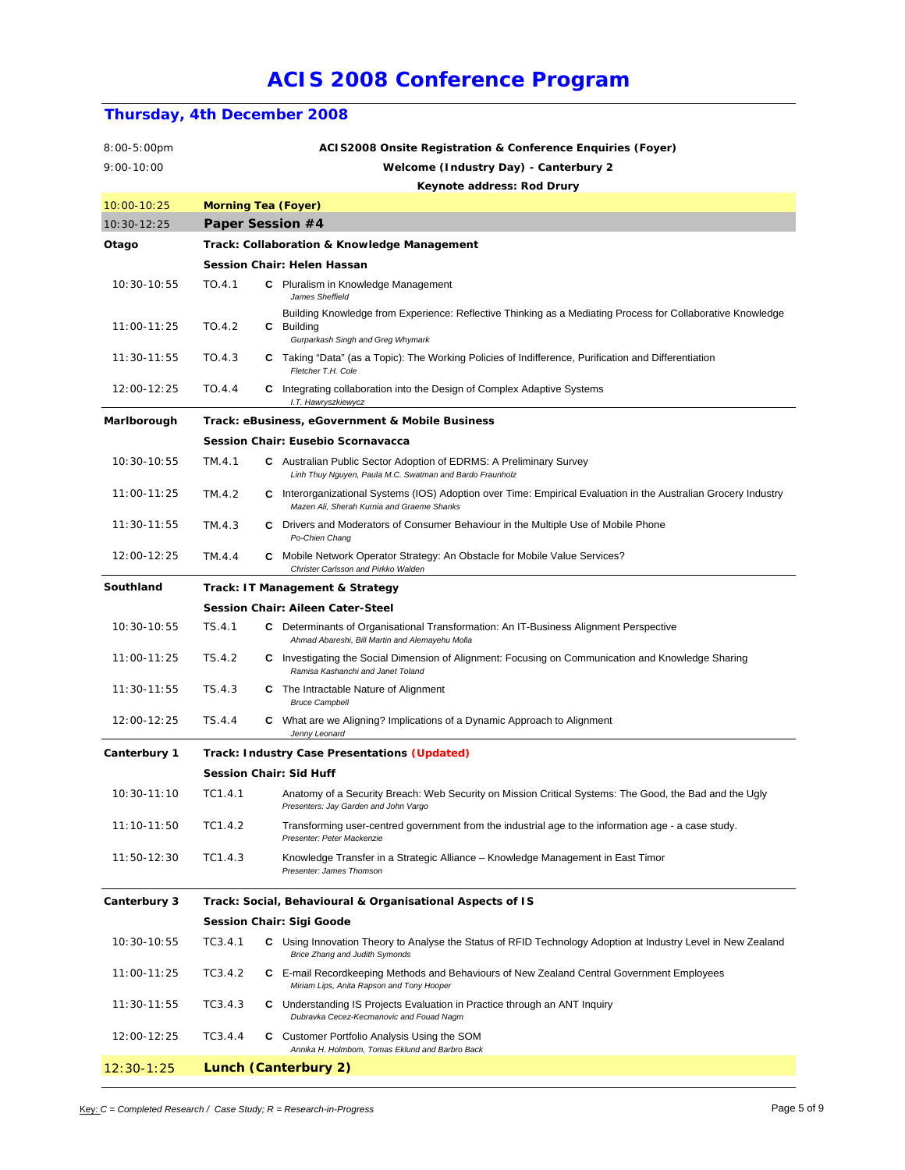### **Thursday, 4th December 2008**

| 8:00-5:00pm    |                                       |                            | ACIS2008 Onsite Registration & Conference Enquiries (Foyer)                                                                                                   |  |  |
|----------------|---------------------------------------|----------------------------|---------------------------------------------------------------------------------------------------------------------------------------------------------------|--|--|
| $9:00 - 10:00$ | Welcome (Industry Day) - Canterbury 2 |                            |                                                                                                                                                               |  |  |
|                |                                       |                            | Keynote address: Rod Drury                                                                                                                                    |  |  |
| 10:00-10:25    |                                       | <b>Morning Tea (Foyer)</b> |                                                                                                                                                               |  |  |
| 10:30-12:25    |                                       | Paper Session #4           |                                                                                                                                                               |  |  |
| Otago          |                                       |                            | Track: Collaboration & Knowledge Management                                                                                                                   |  |  |
|                |                                       |                            | Session Chair: Helen Hassan                                                                                                                                   |  |  |
| 10:30-10:55    | TO.4.1                                |                            | <b>C</b> Pluralism in Knowledge Management<br>James Sheffield                                                                                                 |  |  |
| 11:00-11:25    | TO.4.2                                |                            | Building Knowledge from Experience: Reflective Thinking as a Mediating Process for Collaborative Knowledge<br>C Building<br>Gurparkash Singh and Greg Whymark |  |  |
| $11:30-11:55$  | TO.4.3                                |                            | C Taking "Data" (as a Topic): The Working Policies of Indifference, Purification and Differentiation<br>Fletcher T.H. Cole                                    |  |  |
| 12:00-12:25    | TO.4.4                                |                            | <b>C</b> Integrating collaboration into the Design of Complex Adaptive Systems<br>I.T. Hawryszkiewycz                                                         |  |  |
| Marlborough    |                                       |                            | Track: eBusiness, eGovernment & Mobile Business                                                                                                               |  |  |
|                |                                       |                            | Session Chair: Eusebio Scornavacca                                                                                                                            |  |  |
| 10:30-10:55    | TM.4.1                                |                            | <b>C</b> Australian Public Sector Adoption of EDRMS: A Preliminary Survey<br>Linh Thuy Nguyen, Paula M.C. Swatman and Bardo Fraunholz                         |  |  |
| 11:00-11:25    | TM.4.2                                |                            | C Interorganizational Systems (IOS) Adoption over Time: Empirical Evaluation in the Australian Grocery Industry<br>Mazen Ali, Sherah Kurnia and Graeme Shanks |  |  |
| $11:30-11:55$  | TM.4.3                                |                            | C Drivers and Moderators of Consumer Behaviour in the Multiple Use of Mobile Phone<br>Po-Chien Chang                                                          |  |  |
| 12:00-12:25    | TM.4.4                                |                            | <b>C</b> Mobile Network Operator Strategy: An Obstacle for Mobile Value Services?<br>Christer Carlsson and Pirkko Walden                                      |  |  |
| Southland      |                                       |                            | Track: IT Management & Strategy                                                                                                                               |  |  |
|                |                                       |                            | Session Chair: Aileen Cater-Steel                                                                                                                             |  |  |
| 10:30-10:55    | TS.4.1                                |                            | C Determinants of Organisational Transformation: An IT-Business Alignment Perspective<br>Ahmad Abareshi, Bill Martin and Alemayehu Molla                      |  |  |
| 11:00-11:25    | TS.4.2                                |                            | C Investigating the Social Dimension of Alignment: Focusing on Communication and Knowledge Sharing<br>Ramisa Kashanchi and Janet Toland                       |  |  |
| 11:30-11:55    | TS.4.3                                |                            | <b>C</b> The Intractable Nature of Alignment<br><b>Bruce Campbell</b>                                                                                         |  |  |
| 12:00-12:25    | TS.4.4                                |                            | C What are we Aligning? Implications of a Dynamic Approach to Alignment<br>Jenny Leonard                                                                      |  |  |
| Canterbury 1   |                                       |                            | Track: Industry Case Presentations (Updated)                                                                                                                  |  |  |
|                |                                       |                            | Session Chair: Sid Huff                                                                                                                                       |  |  |
| 10:30-11:10    | TC1.4.1                               |                            | Anatomy of a Security Breach: Web Security on Mission Critical Systems: The Good, the Bad and the Ugly<br>Presenters: Jay Garden and John Vargo               |  |  |
| 11:10-11:50    | TC1.4.2                               |                            | Transforming user-centred government from the industrial age to the information age - a case study.<br>Presenter: Peter Mackenzie                             |  |  |
| 11:50-12:30    | TC1.4.3                               |                            | Knowledge Transfer in a Strategic Alliance - Knowledge Management in East Timor<br>Presenter: James Thomson                                                   |  |  |
| Canterbury 3   |                                       |                            | Track: Social, Behavioural & Organisational Aspects of IS                                                                                                     |  |  |
|                |                                       |                            | Session Chair: Sigi Goode                                                                                                                                     |  |  |
| 10:30-10:55    | TC3.4.1                               |                            | C Using Innovation Theory to Analyse the Status of RFID Technology Adoption at Industry Level in New Zealand<br>Brice Zhang and Judith Symonds                |  |  |
| 11:00-11:25    | TC3.4.2                               |                            | C E-mail Recordkeeping Methods and Behaviours of New Zealand Central Government Employees<br>Miriam Lips, Anita Rapson and Tony Hooper                        |  |  |
| 11:30-11:55    | TC3.4.3                               |                            | <b>C</b> Understanding IS Projects Evaluation in Practice through an ANT Inquiry<br>Dubravka Cecez-Kecmanovic and Fouad Nagm                                  |  |  |
| 12:00-12:25    | TC3.4.4                               |                            | C Customer Portfolio Analysis Using the SOM<br>Annika H. Holmbom, Tomas Eklund and Barbro Back                                                                |  |  |
| $12:30-1:25$   |                                       |                            | Lunch (Canterbury 2)                                                                                                                                          |  |  |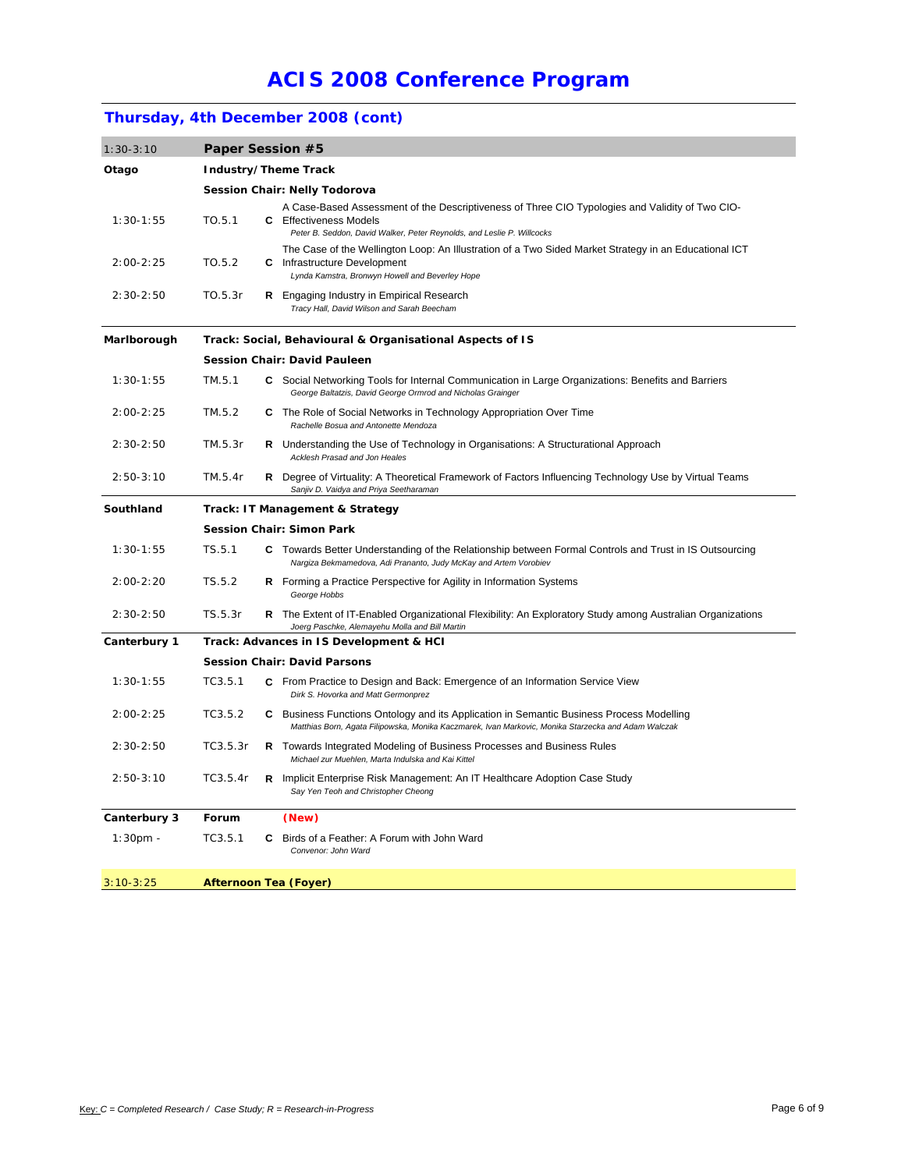## **Thursday, 4th December 2008 (cont)**

| Otago<br>Industry/Theme Track<br><b>Session Chair: Nelly Todorova</b><br>A Case-Based Assessment of the Descriptiveness of Three CIO Typologies and Validity of Two CIO-<br>$1:30-1:55$<br>TO.5.1<br><b>C</b> Effectiveness Models<br>Peter B. Seddon, David Walker, Peter Reynolds, and Leslie P. Willcocks<br>The Case of the Wellington Loop: An Illustration of a Two Sided Market Strategy in an Educational ICT<br>$2:00 - 2:25$<br>TO.5.2<br><b>C</b> Infrastructure Development<br>Lynda Kamstra, Bronwyn Howell and Beverley Hope<br>$2:30-2:50$<br>TO.5.3r<br><b>R</b> Engaging Industry in Empirical Research<br>Tracy Hall, David Wilson and Sarah Beecham<br>Marlborough<br>Track: Social, Behavioural & Organisational Aspects of IS<br><b>Session Chair: David Pauleen</b><br>$1:30-1:55$<br>TM.5.1<br>C Social Networking Tools for Internal Communication in Large Organizations: Benefits and Barriers<br>George Baltatzis, David George Ormrod and Nicholas Grainger<br>$2:00 - 2:25$<br>TM.5.2<br>C The Role of Social Networks in Technology Appropriation Over Time<br>Rachelle Bosua and Antonette Mendoza<br>$2:30-2:50$<br><b>R</b> Understanding the Use of Technology in Organisations: A Structurational Approach<br>TM.5.3r<br>Acklesh Prasad and Jon Heales<br>$2:50-3:10$<br>TM.5.4r<br><b>R</b> Degree of Virtuality: A Theoretical Framework of Factors Influencing Technology Use by Virtual Teams<br>Sanjiv D. Vaidya and Priya Seetharaman<br>Southland<br>Track: IT Management & Strategy<br><b>Session Chair: Simon Park</b><br>TS.5.1<br>$1:30-1:55$<br>C Towards Better Understanding of the Relationship between Formal Controls and Trust in IS Outsourcing<br>Nargiza Bekmamedova, Adi Prananto, Judy McKay and Artem Vorobiev<br>$2:00-2:20$<br>TS.5.2<br>R Forming a Practice Perspective for Agility in Information Systems<br>George Hobbs<br>$2:30-2:50$<br>TS.5.3r<br>R The Extent of IT-Enabled Organizational Flexibility: An Exploratory Study among Australian Organizations<br>Joerg Paschke, Alemayehu Molla and Bill Martin<br>Canterbury 1<br>Track: Advances in IS Development & HCI<br><b>Session Chair: David Parsons</b><br>TC3.5.1<br>$1:30 - 1:55$<br>C From Practice to Design and Back: Emergence of an Information Service View<br>Dirk S. Hovorka and Matt Germonprez<br>$2:00 - 2:25$<br>TC3.5.2<br><b>C</b> Business Functions Ontology and its Application in Semantic Business Process Modelling<br>Matthias Born, Agata Filipowska, Monika Kaczmarek, Ivan Markovic, Monika Starzecka and Adam Walczak<br>$2:30-2:50$<br>TC3.5.3r<br>R Towards Integrated Modeling of Business Processes and Business Rules<br>Michael zur Muehlen, Marta Indulska and Kai Kittel<br>$2:50-3:10$<br>TC3.5.4r<br><b>R</b> Implicit Enterprise Risk Management: An IT Healthcare Adoption Case Study<br>Say Yen Teoh and Christopher Cheong<br>Canterbury 3<br>Forum<br>(New)<br>TC3.5.1<br><b>C</b> Birds of a Feather: A Forum with John Ward<br>$1:30pm -$<br>Convenor: John Ward<br>$3:10-3:25$<br><b>Afternoon Tea (Foyer)</b> | $1:30-3:10$ |  | Paper Session #5 |  |  |  |  |  |
|-------------------------------------------------------------------------------------------------------------------------------------------------------------------------------------------------------------------------------------------------------------------------------------------------------------------------------------------------------------------------------------------------------------------------------------------------------------------------------------------------------------------------------------------------------------------------------------------------------------------------------------------------------------------------------------------------------------------------------------------------------------------------------------------------------------------------------------------------------------------------------------------------------------------------------------------------------------------------------------------------------------------------------------------------------------------------------------------------------------------------------------------------------------------------------------------------------------------------------------------------------------------------------------------------------------------------------------------------------------------------------------------------------------------------------------------------------------------------------------------------------------------------------------------------------------------------------------------------------------------------------------------------------------------------------------------------------------------------------------------------------------------------------------------------------------------------------------------------------------------------------------------------------------------------------------------------------------------------------------------------------------------------------------------------------------------------------------------------------------------------------------------------------------------------------------------------------------------------------------------------------------------------------------------------------------------------------------------------------------------------------------------------------------------------------------------------------------------------------------------------------------------------------------------------------------------------------------------------------------------------------------------------------------------------------------------------------------------------------------------------------------------------------------------------------------------------------------------------------------------------------------------------------------------------------------------------------------------------------------------------------------------------------------------------------------------------------------------|-------------|--|------------------|--|--|--|--|--|
|                                                                                                                                                                                                                                                                                                                                                                                                                                                                                                                                                                                                                                                                                                                                                                                                                                                                                                                                                                                                                                                                                                                                                                                                                                                                                                                                                                                                                                                                                                                                                                                                                                                                                                                                                                                                                                                                                                                                                                                                                                                                                                                                                                                                                                                                                                                                                                                                                                                                                                                                                                                                                                                                                                                                                                                                                                                                                                                                                                                                                                                                                           |             |  |                  |  |  |  |  |  |
|                                                                                                                                                                                                                                                                                                                                                                                                                                                                                                                                                                                                                                                                                                                                                                                                                                                                                                                                                                                                                                                                                                                                                                                                                                                                                                                                                                                                                                                                                                                                                                                                                                                                                                                                                                                                                                                                                                                                                                                                                                                                                                                                                                                                                                                                                                                                                                                                                                                                                                                                                                                                                                                                                                                                                                                                                                                                                                                                                                                                                                                                                           |             |  |                  |  |  |  |  |  |
|                                                                                                                                                                                                                                                                                                                                                                                                                                                                                                                                                                                                                                                                                                                                                                                                                                                                                                                                                                                                                                                                                                                                                                                                                                                                                                                                                                                                                                                                                                                                                                                                                                                                                                                                                                                                                                                                                                                                                                                                                                                                                                                                                                                                                                                                                                                                                                                                                                                                                                                                                                                                                                                                                                                                                                                                                                                                                                                                                                                                                                                                                           |             |  |                  |  |  |  |  |  |
|                                                                                                                                                                                                                                                                                                                                                                                                                                                                                                                                                                                                                                                                                                                                                                                                                                                                                                                                                                                                                                                                                                                                                                                                                                                                                                                                                                                                                                                                                                                                                                                                                                                                                                                                                                                                                                                                                                                                                                                                                                                                                                                                                                                                                                                                                                                                                                                                                                                                                                                                                                                                                                                                                                                                                                                                                                                                                                                                                                                                                                                                                           |             |  |                  |  |  |  |  |  |
|                                                                                                                                                                                                                                                                                                                                                                                                                                                                                                                                                                                                                                                                                                                                                                                                                                                                                                                                                                                                                                                                                                                                                                                                                                                                                                                                                                                                                                                                                                                                                                                                                                                                                                                                                                                                                                                                                                                                                                                                                                                                                                                                                                                                                                                                                                                                                                                                                                                                                                                                                                                                                                                                                                                                                                                                                                                                                                                                                                                                                                                                                           |             |  |                  |  |  |  |  |  |
|                                                                                                                                                                                                                                                                                                                                                                                                                                                                                                                                                                                                                                                                                                                                                                                                                                                                                                                                                                                                                                                                                                                                                                                                                                                                                                                                                                                                                                                                                                                                                                                                                                                                                                                                                                                                                                                                                                                                                                                                                                                                                                                                                                                                                                                                                                                                                                                                                                                                                                                                                                                                                                                                                                                                                                                                                                                                                                                                                                                                                                                                                           |             |  |                  |  |  |  |  |  |
|                                                                                                                                                                                                                                                                                                                                                                                                                                                                                                                                                                                                                                                                                                                                                                                                                                                                                                                                                                                                                                                                                                                                                                                                                                                                                                                                                                                                                                                                                                                                                                                                                                                                                                                                                                                                                                                                                                                                                                                                                                                                                                                                                                                                                                                                                                                                                                                                                                                                                                                                                                                                                                                                                                                                                                                                                                                                                                                                                                                                                                                                                           |             |  |                  |  |  |  |  |  |
|                                                                                                                                                                                                                                                                                                                                                                                                                                                                                                                                                                                                                                                                                                                                                                                                                                                                                                                                                                                                                                                                                                                                                                                                                                                                                                                                                                                                                                                                                                                                                                                                                                                                                                                                                                                                                                                                                                                                                                                                                                                                                                                                                                                                                                                                                                                                                                                                                                                                                                                                                                                                                                                                                                                                                                                                                                                                                                                                                                                                                                                                                           |             |  |                  |  |  |  |  |  |
|                                                                                                                                                                                                                                                                                                                                                                                                                                                                                                                                                                                                                                                                                                                                                                                                                                                                                                                                                                                                                                                                                                                                                                                                                                                                                                                                                                                                                                                                                                                                                                                                                                                                                                                                                                                                                                                                                                                                                                                                                                                                                                                                                                                                                                                                                                                                                                                                                                                                                                                                                                                                                                                                                                                                                                                                                                                                                                                                                                                                                                                                                           |             |  |                  |  |  |  |  |  |
|                                                                                                                                                                                                                                                                                                                                                                                                                                                                                                                                                                                                                                                                                                                                                                                                                                                                                                                                                                                                                                                                                                                                                                                                                                                                                                                                                                                                                                                                                                                                                                                                                                                                                                                                                                                                                                                                                                                                                                                                                                                                                                                                                                                                                                                                                                                                                                                                                                                                                                                                                                                                                                                                                                                                                                                                                                                                                                                                                                                                                                                                                           |             |  |                  |  |  |  |  |  |
|                                                                                                                                                                                                                                                                                                                                                                                                                                                                                                                                                                                                                                                                                                                                                                                                                                                                                                                                                                                                                                                                                                                                                                                                                                                                                                                                                                                                                                                                                                                                                                                                                                                                                                                                                                                                                                                                                                                                                                                                                                                                                                                                                                                                                                                                                                                                                                                                                                                                                                                                                                                                                                                                                                                                                                                                                                                                                                                                                                                                                                                                                           |             |  |                  |  |  |  |  |  |
|                                                                                                                                                                                                                                                                                                                                                                                                                                                                                                                                                                                                                                                                                                                                                                                                                                                                                                                                                                                                                                                                                                                                                                                                                                                                                                                                                                                                                                                                                                                                                                                                                                                                                                                                                                                                                                                                                                                                                                                                                                                                                                                                                                                                                                                                                                                                                                                                                                                                                                                                                                                                                                                                                                                                                                                                                                                                                                                                                                                                                                                                                           |             |  |                  |  |  |  |  |  |
|                                                                                                                                                                                                                                                                                                                                                                                                                                                                                                                                                                                                                                                                                                                                                                                                                                                                                                                                                                                                                                                                                                                                                                                                                                                                                                                                                                                                                                                                                                                                                                                                                                                                                                                                                                                                                                                                                                                                                                                                                                                                                                                                                                                                                                                                                                                                                                                                                                                                                                                                                                                                                                                                                                                                                                                                                                                                                                                                                                                                                                                                                           |             |  |                  |  |  |  |  |  |
|                                                                                                                                                                                                                                                                                                                                                                                                                                                                                                                                                                                                                                                                                                                                                                                                                                                                                                                                                                                                                                                                                                                                                                                                                                                                                                                                                                                                                                                                                                                                                                                                                                                                                                                                                                                                                                                                                                                                                                                                                                                                                                                                                                                                                                                                                                                                                                                                                                                                                                                                                                                                                                                                                                                                                                                                                                                                                                                                                                                                                                                                                           |             |  |                  |  |  |  |  |  |
|                                                                                                                                                                                                                                                                                                                                                                                                                                                                                                                                                                                                                                                                                                                                                                                                                                                                                                                                                                                                                                                                                                                                                                                                                                                                                                                                                                                                                                                                                                                                                                                                                                                                                                                                                                                                                                                                                                                                                                                                                                                                                                                                                                                                                                                                                                                                                                                                                                                                                                                                                                                                                                                                                                                                                                                                                                                                                                                                                                                                                                                                                           |             |  |                  |  |  |  |  |  |
|                                                                                                                                                                                                                                                                                                                                                                                                                                                                                                                                                                                                                                                                                                                                                                                                                                                                                                                                                                                                                                                                                                                                                                                                                                                                                                                                                                                                                                                                                                                                                                                                                                                                                                                                                                                                                                                                                                                                                                                                                                                                                                                                                                                                                                                                                                                                                                                                                                                                                                                                                                                                                                                                                                                                                                                                                                                                                                                                                                                                                                                                                           |             |  |                  |  |  |  |  |  |
|                                                                                                                                                                                                                                                                                                                                                                                                                                                                                                                                                                                                                                                                                                                                                                                                                                                                                                                                                                                                                                                                                                                                                                                                                                                                                                                                                                                                                                                                                                                                                                                                                                                                                                                                                                                                                                                                                                                                                                                                                                                                                                                                                                                                                                                                                                                                                                                                                                                                                                                                                                                                                                                                                                                                                                                                                                                                                                                                                                                                                                                                                           |             |  |                  |  |  |  |  |  |
|                                                                                                                                                                                                                                                                                                                                                                                                                                                                                                                                                                                                                                                                                                                                                                                                                                                                                                                                                                                                                                                                                                                                                                                                                                                                                                                                                                                                                                                                                                                                                                                                                                                                                                                                                                                                                                                                                                                                                                                                                                                                                                                                                                                                                                                                                                                                                                                                                                                                                                                                                                                                                                                                                                                                                                                                                                                                                                                                                                                                                                                                                           |             |  |                  |  |  |  |  |  |
|                                                                                                                                                                                                                                                                                                                                                                                                                                                                                                                                                                                                                                                                                                                                                                                                                                                                                                                                                                                                                                                                                                                                                                                                                                                                                                                                                                                                                                                                                                                                                                                                                                                                                                                                                                                                                                                                                                                                                                                                                                                                                                                                                                                                                                                                                                                                                                                                                                                                                                                                                                                                                                                                                                                                                                                                                                                                                                                                                                                                                                                                                           |             |  |                  |  |  |  |  |  |
|                                                                                                                                                                                                                                                                                                                                                                                                                                                                                                                                                                                                                                                                                                                                                                                                                                                                                                                                                                                                                                                                                                                                                                                                                                                                                                                                                                                                                                                                                                                                                                                                                                                                                                                                                                                                                                                                                                                                                                                                                                                                                                                                                                                                                                                                                                                                                                                                                                                                                                                                                                                                                                                                                                                                                                                                                                                                                                                                                                                                                                                                                           |             |  |                  |  |  |  |  |  |
|                                                                                                                                                                                                                                                                                                                                                                                                                                                                                                                                                                                                                                                                                                                                                                                                                                                                                                                                                                                                                                                                                                                                                                                                                                                                                                                                                                                                                                                                                                                                                                                                                                                                                                                                                                                                                                                                                                                                                                                                                                                                                                                                                                                                                                                                                                                                                                                                                                                                                                                                                                                                                                                                                                                                                                                                                                                                                                                                                                                                                                                                                           |             |  |                  |  |  |  |  |  |
|                                                                                                                                                                                                                                                                                                                                                                                                                                                                                                                                                                                                                                                                                                                                                                                                                                                                                                                                                                                                                                                                                                                                                                                                                                                                                                                                                                                                                                                                                                                                                                                                                                                                                                                                                                                                                                                                                                                                                                                                                                                                                                                                                                                                                                                                                                                                                                                                                                                                                                                                                                                                                                                                                                                                                                                                                                                                                                                                                                                                                                                                                           |             |  |                  |  |  |  |  |  |
|                                                                                                                                                                                                                                                                                                                                                                                                                                                                                                                                                                                                                                                                                                                                                                                                                                                                                                                                                                                                                                                                                                                                                                                                                                                                                                                                                                                                                                                                                                                                                                                                                                                                                                                                                                                                                                                                                                                                                                                                                                                                                                                                                                                                                                                                                                                                                                                                                                                                                                                                                                                                                                                                                                                                                                                                                                                                                                                                                                                                                                                                                           |             |  |                  |  |  |  |  |  |
|                                                                                                                                                                                                                                                                                                                                                                                                                                                                                                                                                                                                                                                                                                                                                                                                                                                                                                                                                                                                                                                                                                                                                                                                                                                                                                                                                                                                                                                                                                                                                                                                                                                                                                                                                                                                                                                                                                                                                                                                                                                                                                                                                                                                                                                                                                                                                                                                                                                                                                                                                                                                                                                                                                                                                                                                                                                                                                                                                                                                                                                                                           |             |  |                  |  |  |  |  |  |
|                                                                                                                                                                                                                                                                                                                                                                                                                                                                                                                                                                                                                                                                                                                                                                                                                                                                                                                                                                                                                                                                                                                                                                                                                                                                                                                                                                                                                                                                                                                                                                                                                                                                                                                                                                                                                                                                                                                                                                                                                                                                                                                                                                                                                                                                                                                                                                                                                                                                                                                                                                                                                                                                                                                                                                                                                                                                                                                                                                                                                                                                                           |             |  |                  |  |  |  |  |  |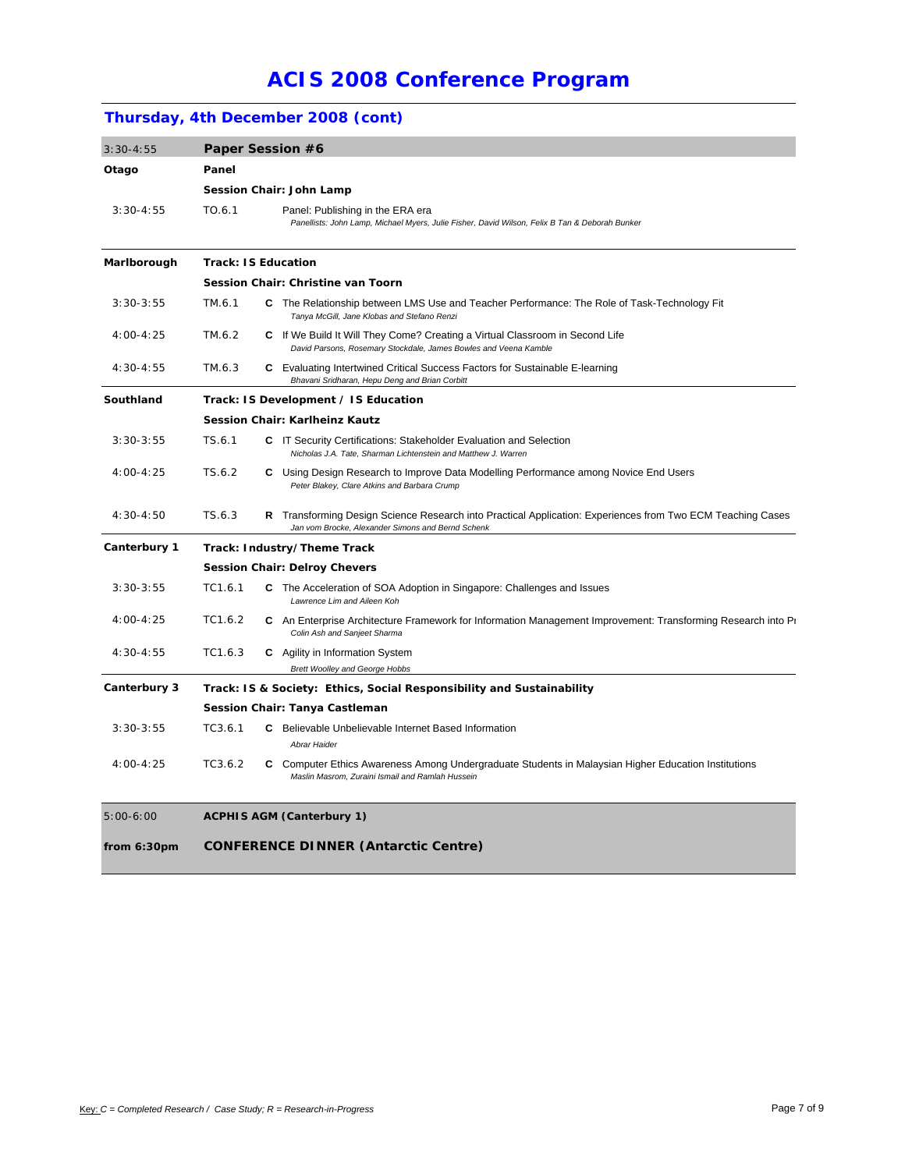## **Thursday, 4th December 2008 (cont)**

| $3:30-4:55$   | Paper Session #6                                                      |  |                                                                                                                                                                 |  |  |  |  |
|---------------|-----------------------------------------------------------------------|--|-----------------------------------------------------------------------------------------------------------------------------------------------------------------|--|--|--|--|
| Otago         | Panel                                                                 |  |                                                                                                                                                                 |  |  |  |  |
|               | Session Chair: John Lamp                                              |  |                                                                                                                                                                 |  |  |  |  |
| $3:30-4:55$   | TO.6.1                                                                |  | Panel: Publishing in the ERA era<br>Panellists: John Lamp, Michael Myers, Julie Fisher, David Wilson, Felix B Tan & Deborah Bunker                              |  |  |  |  |
| Marlborough   | <b>Track: IS Education</b>                                            |  |                                                                                                                                                                 |  |  |  |  |
|               | Session Chair: Christine van Toorn                                    |  |                                                                                                                                                                 |  |  |  |  |
| $3:30-3:55$   | TM.6.1                                                                |  | C The Relationship between LMS Use and Teacher Performance: The Role of Task-Technology Fit<br>Tanya McGill, Jane Klobas and Stefano Renzi                      |  |  |  |  |
| $4:00 - 4:25$ | TM.6.2                                                                |  | C If We Build It Will They Come? Creating a Virtual Classroom in Second Life<br>David Parsons, Rosemary Stockdale, James Bowles and Veena Kamble                |  |  |  |  |
| 4:30-4:55     | TM.6.3                                                                |  | <b>C</b> Evaluating Intertwined Critical Success Factors for Sustainable E-learning<br>Bhavani Sridharan, Hepu Deng and Brian Corbitt                           |  |  |  |  |
| Southland     | Track: IS Development / IS Education                                  |  |                                                                                                                                                                 |  |  |  |  |
|               | Session Chair: Karlheinz Kautz                                        |  |                                                                                                                                                                 |  |  |  |  |
| $3:30-3:55$   | TS.6.1                                                                |  | C IT Security Certifications: Stakeholder Evaluation and Selection<br>Nicholas J.A. Tate, Sharman Lichtenstein and Matthew J. Warren                            |  |  |  |  |
| $4:00 - 4:25$ | TS.6.2                                                                |  | C Using Design Research to Improve Data Modelling Performance among Novice End Users<br>Peter Blakey, Clare Atkins and Barbara Crump                            |  |  |  |  |
| $4:30 - 4:50$ | TS.6.3                                                                |  | R Transforming Design Science Research into Practical Application: Experiences from Two ECM Teaching Cases<br>Jan vom Brocke, Alexander Simons and Bernd Schenk |  |  |  |  |
| Canterbury 1  |                                                                       |  | Track: Industry/Theme Track                                                                                                                                     |  |  |  |  |
|               |                                                                       |  | <b>Session Chair: Delroy Chevers</b>                                                                                                                            |  |  |  |  |
| $3:30-3:55$   | TC1.6.1                                                               |  | C The Acceleration of SOA Adoption in Singapore: Challenges and Issues<br>Lawrence Lim and Aileen Koh                                                           |  |  |  |  |
| 4:00-4:25     | TC1.6.2                                                               |  | C An Enterprise Architecture Framework for Information Management Improvement: Transforming Research into Pr<br>Colin Ash and Sanjeet Sharma                    |  |  |  |  |
| $4:30 - 4:55$ | TC1.6.3                                                               |  | <b>C</b> Agility in Information System<br><b>Brett Woolley and George Hobbs</b>                                                                                 |  |  |  |  |
| Canterbury 3  | Track: IS & Society: Ethics, Social Responsibility and Sustainability |  |                                                                                                                                                                 |  |  |  |  |
|               | Session Chair: Tanya Castleman                                        |  |                                                                                                                                                                 |  |  |  |  |
| $3:30-3:55$   | TC3.6.1                                                               |  | C Believable Unbelievable Internet Based Information<br>Abrar Haider                                                                                            |  |  |  |  |
| $4:00 - 4:25$ | TC3.6.2                                                               |  | C Computer Ethics Awareness Among Undergraduate Students in Malaysian Higher Education Institutions<br>Maslin Masrom, Zuraini Ismail and Ramlah Hussein         |  |  |  |  |
| $5:00-6:00$   | <b>ACPHIS AGM (Canterbury 1)</b>                                      |  |                                                                                                                                                                 |  |  |  |  |
| from $6:30pm$ |                                                                       |  | <b>CONFERENCE DINNER (Antarctic Centre)</b>                                                                                                                     |  |  |  |  |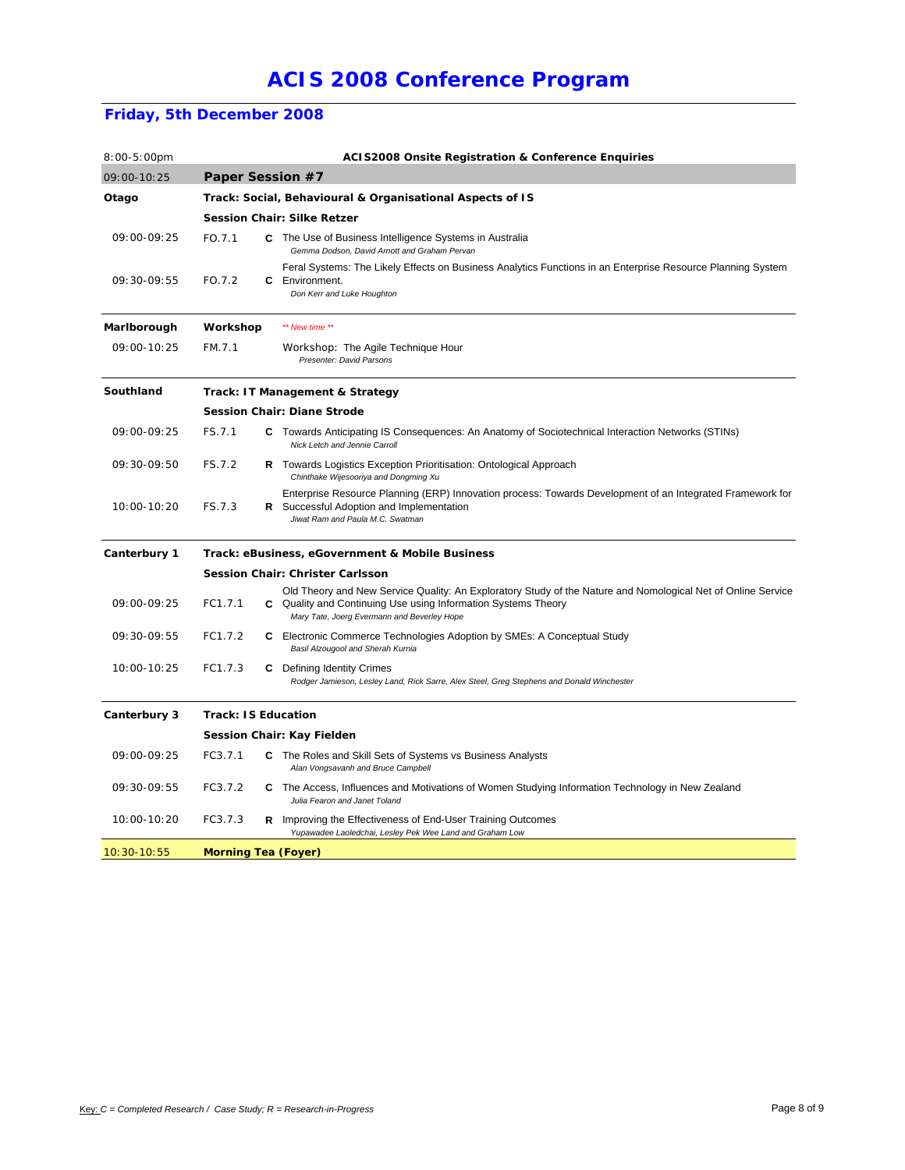### **Friday, 5th December 2008**

| $8:00-5:00$ pm |                                    |                                                           | <b>ACIS2008 Onsite Registration &amp; Conference Enquiries</b>                                                                                                                                                               |  |  |  |  |  |
|----------------|------------------------------------|-----------------------------------------------------------|------------------------------------------------------------------------------------------------------------------------------------------------------------------------------------------------------------------------------|--|--|--|--|--|
| 09:00-10:25    | Paper Session #7                   |                                                           |                                                                                                                                                                                                                              |  |  |  |  |  |
| Otago          |                                    | Track: Social, Behavioural & Organisational Aspects of IS |                                                                                                                                                                                                                              |  |  |  |  |  |
|                |                                    | <b>Session Chair: Silke Retzer</b>                        |                                                                                                                                                                                                                              |  |  |  |  |  |
| 09:00-09:25    | FO.7.1                             |                                                           | C The Use of Business Intelligence Systems in Australia<br>Gemma Dodson, David Arnott and Graham Pervan                                                                                                                      |  |  |  |  |  |
| 09:30-09:55    | FO.7.2                             |                                                           | Feral Systems: The Likely Effects on Business Analytics Functions in an Enterprise Resource Planning System<br><b>C</b> Environment.<br>Don Kerr and Luke Houghton                                                           |  |  |  |  |  |
| Marlborough    | Workshop                           |                                                           | ** New time **                                                                                                                                                                                                               |  |  |  |  |  |
| 09:00-10:25    | FM.7.1                             |                                                           | <i>Workshop:</i> The Agile Technique Hour<br>Presenter: David Parsons                                                                                                                                                        |  |  |  |  |  |
| Southland      | Track: IT Management & Strategy    |                                                           |                                                                                                                                                                                                                              |  |  |  |  |  |
|                | <b>Session Chair: Diane Strode</b> |                                                           |                                                                                                                                                                                                                              |  |  |  |  |  |
| 09:00-09:25    | FS.7.1                             |                                                           | <b>C</b> Towards Anticipating IS Consequences: An Anatomy of Sociotechnical Interaction Networks (STINs)<br>Nick Letch and Jennie Carroll                                                                                    |  |  |  |  |  |
| 09:30-09:50    | FS.7.2                             |                                                           | R Towards Logistics Exception Prioritisation: Ontological Approach<br>Chinthake Wijesooriya and Dongming Xu                                                                                                                  |  |  |  |  |  |
| 10:00-10:20    | FS.7.3                             |                                                           | Enterprise Resource Planning (ERP) Innovation process: Towards Development of an Integrated Framework for<br>R Successful Adoption and Implementation<br>Jiwat Ram and Paula M.C. Swatman                                    |  |  |  |  |  |
| Canterbury 1   |                                    |                                                           | Track: eBusiness, eGovernment & Mobile Business                                                                                                                                                                              |  |  |  |  |  |
|                |                                    |                                                           | <b>Session Chair: Christer Carlsson</b>                                                                                                                                                                                      |  |  |  |  |  |
| 09:00-09:25    | FC1.7.1                            |                                                           | Old Theory and New Service Quality: An Exploratory Study of the Nature and Nomological Net of Online Service<br>C Quality and Continuing Use using Information Systems Theory<br>Mary Tate, Joerg Evermann and Beverley Hope |  |  |  |  |  |
| 09:30-09:55    | FC1.7.2                            |                                                           | C Electronic Commerce Technologies Adoption by SMEs: A Conceptual Study<br>Basil Alzougool and Sherah Kurnia                                                                                                                 |  |  |  |  |  |
| 10:00-10:25    | FC1.7.3                            |                                                           | <b>C</b> Defining Identity Crimes<br>Rodger Jamieson, Lesley Land, Rick Sarre, Alex Steel, Greg Stephens and Donald Winchester                                                                                               |  |  |  |  |  |
| Canterbury 3   | <b>Track: IS Education</b>         |                                                           |                                                                                                                                                                                                                              |  |  |  |  |  |
|                |                                    |                                                           | <b>Session Chair: Kay Fielden</b>                                                                                                                                                                                            |  |  |  |  |  |
| 09:00-09:25    | FC3.7.1                            |                                                           | C The Roles and Skill Sets of Systems vs Business Analysts<br>Alan Vongsavanh and Bruce Campbell                                                                                                                             |  |  |  |  |  |
| 09:30-09:55    | FC3.7.2                            |                                                           | C The Access, Influences and Motivations of Women Studying Information Technology in New Zealand<br>Julia Fearon and Janet Toland                                                                                            |  |  |  |  |  |
| 10:00-10:20    | FC3.7.3                            |                                                           | <b>R</b> Improving the Effectiveness of End-User Training Outcomes<br>Yupawadee Laoledchai, Lesley Pek Wee Land and Graham Low                                                                                               |  |  |  |  |  |
| $10:30-10:55$  | <b>Morning Tea (Foyer)</b>         |                                                           |                                                                                                                                                                                                                              |  |  |  |  |  |